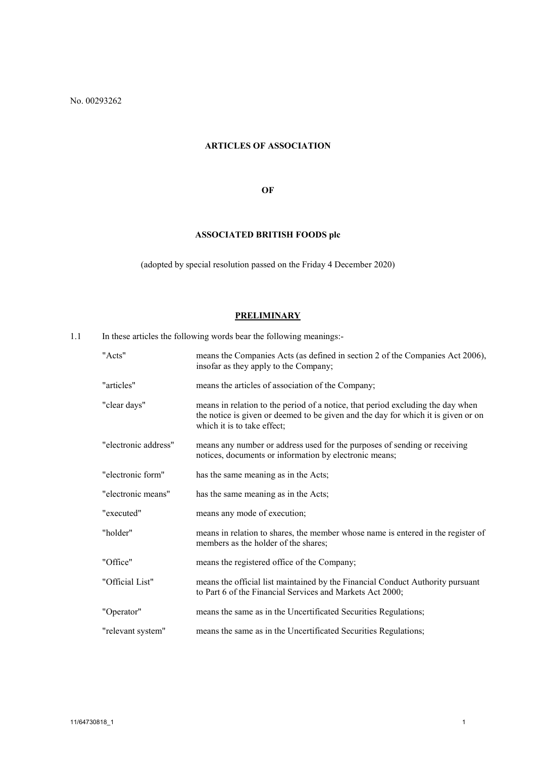No. 00293262

# **ARTICLES OF ASSOCIATION**

## **OF**

# **ASSOCIATED BRITISH FOODS plc**

(adopted by special resolution passed on the Friday 4 December 2020)

# **PRELIMINARY**

1.1 In these articles the following words bear the following meanings:-

| "Acts"               | means the Companies Acts (as defined in section 2 of the Companies Act 2006),<br>insofar as they apply to the Company;                                                                              |
|----------------------|-----------------------------------------------------------------------------------------------------------------------------------------------------------------------------------------------------|
| "articles"           | means the articles of association of the Company;                                                                                                                                                   |
| "clear days"         | means in relation to the period of a notice, that period excluding the day when<br>the notice is given or deemed to be given and the day for which it is given or on<br>which it is to take effect; |
| "electronic address" | means any number or address used for the purposes of sending or receiving<br>notices, documents or information by electronic means;                                                                 |
| "electronic form"    | has the same meaning as in the Acts;                                                                                                                                                                |
| "electronic means"   | has the same meaning as in the Acts;                                                                                                                                                                |
| "executed"           | means any mode of execution;                                                                                                                                                                        |
| "holder"             | means in relation to shares, the member whose name is entered in the register of<br>members as the holder of the shares;                                                                            |
| "Office"             | means the registered office of the Company;                                                                                                                                                         |
| "Official List"      | means the official list maintained by the Financial Conduct Authority pursuant<br>to Part 6 of the Financial Services and Markets Act 2000;                                                         |
| "Operator"           | means the same as in the Uncertificated Securities Regulations;                                                                                                                                     |
| "relevant system"    | means the same as in the Uncertificated Securities Regulations;                                                                                                                                     |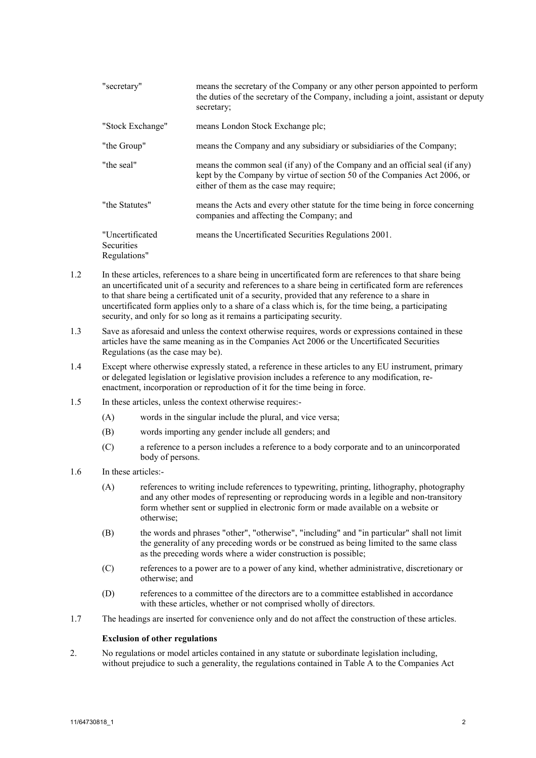| "secretary"                                          | means the secretary of the Company or any other person appointed to perform<br>the duties of the secretary of the Company, including a joint, assistant or deputy<br>secretary;                     |
|------------------------------------------------------|-----------------------------------------------------------------------------------------------------------------------------------------------------------------------------------------------------|
| "Stock Exchange"                                     | means London Stock Exchange plc;                                                                                                                                                                    |
| "the Group"                                          | means the Company and any subsidiary or subsidiaries of the Company;                                                                                                                                |
| "the seal"                                           | means the common seal (if any) of the Company and an official seal (if any)<br>kept by the Company by virtue of section 50 of the Companies Act 2006, or<br>either of them as the case may require; |
| "the Statutes"                                       | means the Acts and every other statute for the time being in force concerning<br>companies and affecting the Company; and                                                                           |
| "Uncertificated<br><b>Securities</b><br>Regulations" | means the Uncertificated Securities Regulations 2001.                                                                                                                                               |

- 1.2 In these articles, references to a share being in uncertificated form are references to that share being an uncertificated unit of a security and references to a share being in certificated form are references to that share being a certificated unit of a security, provided that any reference to a share in uncertificated form applies only to a share of a class which is, for the time being, a participating security, and only for so long as it remains a participating security.
- 1.3 Save as aforesaid and unless the context otherwise requires, words or expressions contained in these articles have the same meaning as in the Companies Act 2006 or the Uncertificated Securities Regulations (as the case may be).
- 1.4 Except where otherwise expressly stated, a reference in these articles to any EU instrument, primary or delegated legislation or legislative provision includes a reference to any modification, reenactment, incorporation or reproduction of it for the time being in force.
- 1.5 In these articles, unless the context otherwise requires:-
	- (A) words in the singular include the plural, and vice versa;
	- (B) words importing any gender include all genders; and
	- (C) a reference to a person includes a reference to a body corporate and to an unincorporated body of persons.
- 1.6 In these articles:-
	- (A) references to writing include references to typewriting, printing, lithography, photography and any other modes of representing or reproducing words in a legible and non-transitory form whether sent or supplied in electronic form or made available on a website or otherwise;
	- (B) the words and phrases "other", "otherwise", "including" and "in particular" shall not limit the generality of any preceding words or be construed as being limited to the same class as the preceding words where a wider construction is possible;
	- (C) references to a power are to a power of any kind, whether administrative, discretionary or otherwise; and
	- (D) references to a committee of the directors are to a committee established in accordance with these articles, whether or not comprised wholly of directors.
- 1.7 The headings are inserted for convenience only and do not affect the construction of these articles.

## **Exclusion of other regulations**

2. No regulations or model articles contained in any statute or subordinate legislation including, without prejudice to such a generality, the regulations contained in Table A to the Companies Act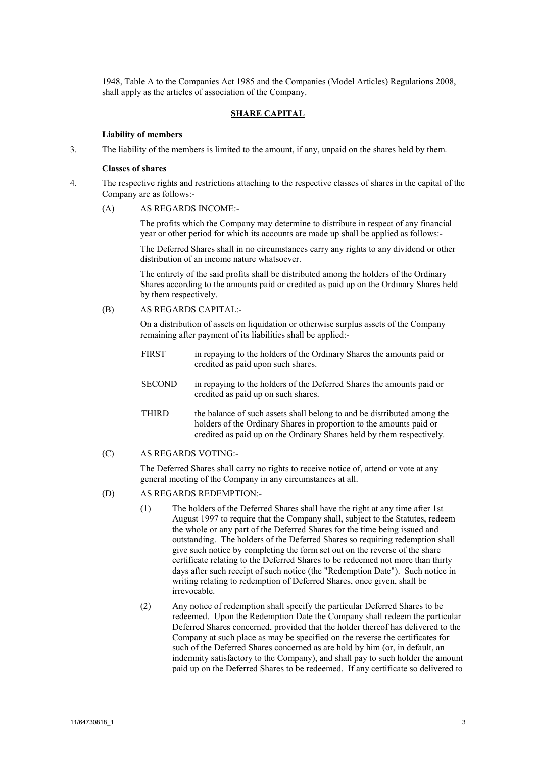1948, Table A to the Companies Act 1985 and the Companies (Model Articles) Regulations 2008, shall apply as the articles of association of the Company.

## **SHARE CAPITAL**

### **Liability of members**

3. The liability of the members is limited to the amount, if any, unpaid on the shares held by them.

### **Classes of shares**

- 4. The respective rights and restrictions attaching to the respective classes of shares in the capital of the Company are as follows:-
	- (A) AS REGARDS INCOME:-

The profits which the Company may determine to distribute in respect of any financial year or other period for which its accounts are made up shall be applied as follows:-

The Deferred Shares shall in no circumstances carry any rights to any dividend or other distribution of an income nature whatsoever.

The entirety of the said profits shall be distributed among the holders of the Ordinary Shares according to the amounts paid or credited as paid up on the Ordinary Shares held by them respectively.

(B) AS REGARDS CAPITAL:-

On a distribution of assets on liquidation or otherwise surplus assets of the Company remaining after payment of its liabilities shall be applied:-

- FIRST in repaying to the holders of the Ordinary Shares the amounts paid or credited as paid upon such shares.
- SECOND in repaying to the holders of the Deferred Shares the amounts paid or credited as paid up on such shares.
- THIRD the balance of such assets shall belong to and be distributed among the holders of the Ordinary Shares in proportion to the amounts paid or credited as paid up on the Ordinary Shares held by them respectively.
- (C) AS REGARDS VOTING:-

The Deferred Shares shall carry no rights to receive notice of, attend or vote at any general meeting of the Company in any circumstances at all.

## (D) AS REGARDS REDEMPTION:-

- (1) The holders of the Deferred Shares shall have the right at any time after 1st August 1997 to require that the Company shall, subject to the Statutes, redeem the whole or any part of the Deferred Shares for the time being issued and outstanding. The holders of the Deferred Shares so requiring redemption shall give such notice by completing the form set out on the reverse of the share certificate relating to the Deferred Shares to be redeemed not more than thirty days after such receipt of such notice (the "Redemption Date"). Such notice in writing relating to redemption of Deferred Shares, once given, shall be irrevocable.
- (2) Any notice of redemption shall specify the particular Deferred Shares to be redeemed. Upon the Redemption Date the Company shall redeem the particular Deferred Shares concerned, provided that the holder thereof has delivered to the Company at such place as may be specified on the reverse the certificates for such of the Deferred Shares concerned as are hold by him (or, in default, an indemnity satisfactory to the Company), and shall pay to such holder the amount paid up on the Deferred Shares to be redeemed. If any certificate so delivered to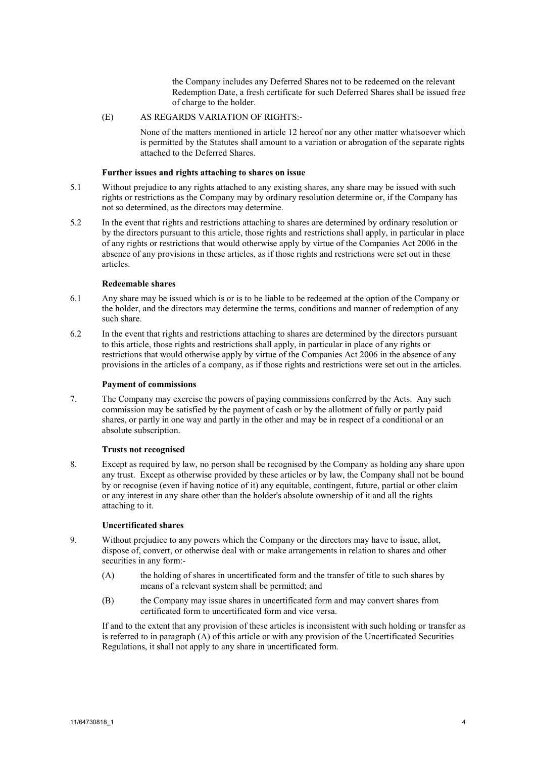the Company includes any Deferred Shares not to be redeemed on the relevant Redemption Date, a fresh certificate for such Deferred Shares shall be issued free of charge to the holder.

# (E) AS REGARDS VARIATION OF RIGHTS:-

None of the matters mentioned in article [12](#page-4-0) hereof nor any other matter whatsoever which is permitted by the Statutes shall amount to a variation or abrogation of the separate rights attached to the Deferred Shares.

## **Further issues and rights attaching to shares on issue**

- 5.1 Without prejudice to any rights attached to any existing shares, any share may be issued with such rights or restrictions as the Company may by ordinary resolution determine or, if the Company has not so determined, as the directors may determine.
- 5.2 In the event that rights and restrictions attaching to shares are determined by ordinary resolution or by the directors pursuant to this article, those rights and restrictions shall apply, in particular in place of any rights or restrictions that would otherwise apply by virtue of the Companies Act 2006 in the absence of any provisions in these articles, as if those rights and restrictions were set out in these articles.

## **Redeemable shares**

- 6.1 Any share may be issued which is or is to be liable to be redeemed at the option of the Company or the holder, and the directors may determine the terms, conditions and manner of redemption of any such share.
- 6.2 In the event that rights and restrictions attaching to shares are determined by the directors pursuant to this article, those rights and restrictions shall apply, in particular in place of any rights or restrictions that would otherwise apply by virtue of the Companies Act 2006 in the absence of any provisions in the articles of a company, as if those rights and restrictions were set out in the articles.

## **Payment of commissions**

7. The Company may exercise the powers of paying commissions conferred by the Acts. Any such commission may be satisfied by the payment of cash or by the allotment of fully or partly paid shares, or partly in one way and partly in the other and may be in respect of a conditional or an absolute subscription.

### **Trusts not recognised**

8. Except as required by law, no person shall be recognised by the Company as holding any share upon any trust. Except as otherwise provided by these articles or by law, the Company shall not be bound by or recognise (even if having notice of it) any equitable, contingent, future, partial or other claim or any interest in any share other than the holder's absolute ownership of it and all the rights attaching to it.

## **Uncertificated shares**

- <span id="page-3-0"></span>9. Without prejudice to any powers which the Company or the directors may have to issue, allot, dispose of, convert, or otherwise deal with or make arrangements in relation to shares and other securities in any form:-
	- (A) the holding of shares in uncertificated form and the transfer of title to such shares by means of a relevant system shall be permitted; and
	- (B) the Company may issue shares in uncertificated form and may convert shares from certificated form to uncertificated form and vice versa.

If and to the extent that any provision of these articles is inconsistent with such holding or transfer as is referred to in paragrap[h \(A\)](#page-3-0) of this article or with any provision of the Uncertificated Securities Regulations, it shall not apply to any share in uncertificated form.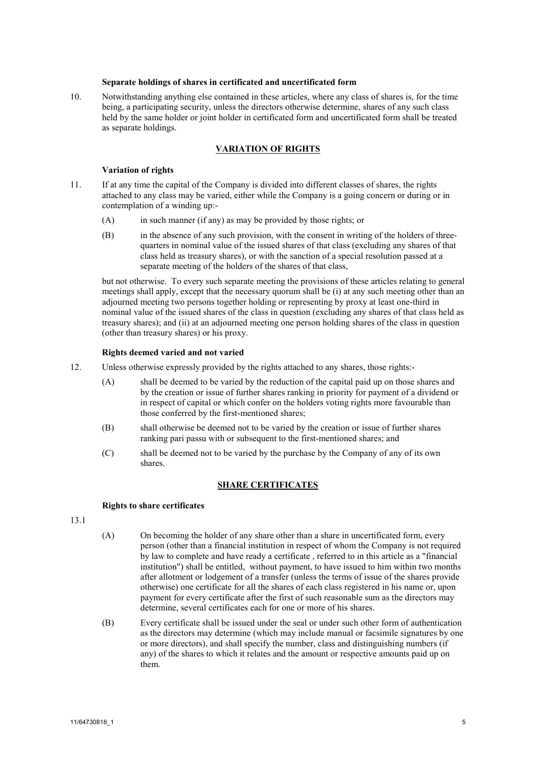#### **Separate holdings of shares in certificated and uncertificated form**

10. Notwithstanding anything else contained in these articles, where any class of shares is, for the time being, a participating security, unless the directors otherwise determine, shares of any such class held by the same holder or joint holder in certificated form and uncertificated form shall be treated as separate holdings.

## **VARIATION OF RIGHTS**

#### **Variation of rights**

- 11. If at any time the capital of the Company is divided into different classes of shares, the rights attached to any class may be varied, either while the Company is a going concern or during or in contemplation of a winding up:-
	- (A) in such manner (if any) as may be provided by those rights; or
	- (B) in the absence of any such provision, with the consent in writing of the holders of threequarters in nominal value of the issued shares of that class (excluding any shares of that class held as treasury shares), or with the sanction of a special resolution passed at a separate meeting of the holders of the shares of that class,

but not otherwise. To every such separate meeting the provisions of these articles relating to general meetings shall apply, except that the necessary quorum shall be (i) at any such meeting other than an adjourned meeting two persons together holding or representing by proxy at least one-third in nominal value of the issued shares of the class in question (excluding any shares of that class held as treasury shares); and (ii) at an adjourned meeting one person holding shares of the class in question (other than treasury shares) or his proxy.

#### **Rights deemed varied and not varied**

- <span id="page-4-0"></span>12. Unless otherwise expressly provided by the rights attached to any shares, those rights:-
	- (A) shall be deemed to be varied by the reduction of the capital paid up on those shares and by the creation or issue of further shares ranking in priority for payment of a dividend or in respect of capital or which confer on the holders voting rights more favourable than those conferred by the first-mentioned shares;
	- (B) shall otherwise be deemed not to be varied by the creation or issue of further shares ranking pari passu with or subsequent to the first-mentioned shares; and
	- (C) shall be deemed not to be varied by the purchase by the Company of any of its own shares.

#### **SHARE CERTIFICATES**

## **Rights to share certificates**

13.1

- (A) On becoming the holder of any share other than a share in uncertificated form, every person (other than a financial institution in respect of whom the Company is not required by law to complete and have ready a certificate , referred to in this article as a "financial institution") shall be entitled, without payment, to have issued to him within two months after allotment or lodgement of a transfer (unless the terms of issue of the shares provide otherwise) one certificate for all the shares of each class registered in his name or, upon payment for every certificate after the first of such reasonable sum as the directors may determine, several certificates each for one or more of his shares.
- (B) Every certificate shall be issued under the seal or under such other form of authentication as the directors may determine (which may include manual or facsimile signatures by one or more directors), and shall specify the number, class and distinguishing numbers (if any) of the shares to which it relates and the amount or respective amounts paid up on them.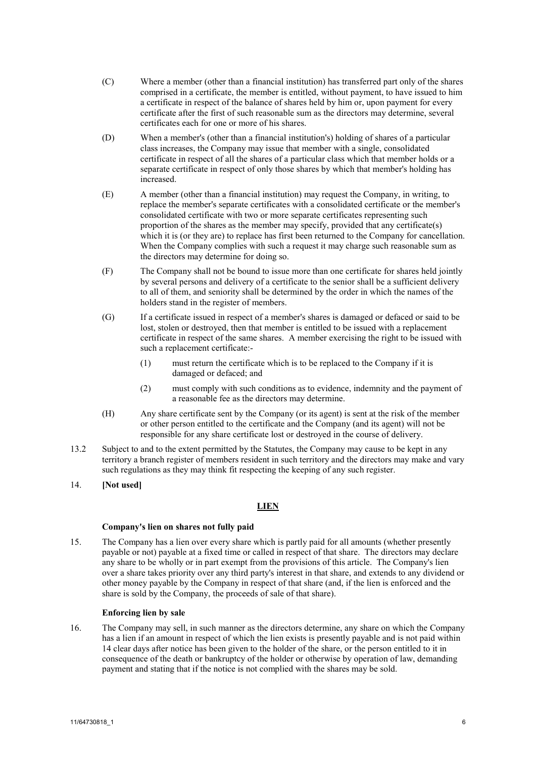- (C) Where a member (other than a financial institution) has transferred part only of the shares comprised in a certificate, the member is entitled, without payment, to have issued to him a certificate in respect of the balance of shares held by him or, upon payment for every certificate after the first of such reasonable sum as the directors may determine, several certificates each for one or more of his shares.
- (D) When a member's (other than a financial institution's) holding of shares of a particular class increases, the Company may issue that member with a single, consolidated certificate in respect of all the shares of a particular class which that member holds or a separate certificate in respect of only those shares by which that member's holding has increased.
- (E) A member (other than a financial institution) may request the Company, in writing, to replace the member's separate certificates with a consolidated certificate or the member's consolidated certificate with two or more separate certificates representing such proportion of the shares as the member may specify, provided that any certificate(s) which it is (or they are) to replace has first been returned to the Company for cancellation. When the Company complies with such a request it may charge such reasonable sum as the directors may determine for doing so.
- (F) The Company shall not be bound to issue more than one certificate for shares held jointly by several persons and delivery of a certificate to the senior shall be a sufficient delivery to all of them, and seniority shall be determined by the order in which the names of the holders stand in the register of members.
- (G) If a certificate issued in respect of a member's shares is damaged or defaced or said to be lost, stolen or destroyed, then that member is entitled to be issued with a replacement certificate in respect of the same shares. A member exercising the right to be issued with such a replacement certificate:-
	- (1) must return the certificate which is to be replaced to the Company if it is damaged or defaced; and
	- (2) must comply with such conditions as to evidence, indemnity and the payment of a reasonable fee as the directors may determine.
- (H) Any share certificate sent by the Company (or its agent) is sent at the risk of the member or other person entitled to the certificate and the Company (and its agent) will not be responsible for any share certificate lost or destroyed in the course of delivery.
- 13.2 Subject to and to the extent permitted by the Statutes, the Company may cause to be kept in any territory a branch register of members resident in such territory and the directors may make and vary such regulations as they may think fit respecting the keeping of any such register.

## 14. **[Not used]**

# **LIEN**

## **Company's lien on shares not fully paid**

15. The Company has a lien over every share which is partly paid for all amounts (whether presently payable or not) payable at a fixed time or called in respect of that share. The directors may declare any share to be wholly or in part exempt from the provisions of this article. The Company's lien over a share takes priority over any third party's interest in that share, and extends to any dividend or other money payable by the Company in respect of that share (and, if the lien is enforced and the share is sold by the Company, the proceeds of sale of that share).

## **Enforcing lien by sale**

16. The Company may sell, in such manner as the directors determine, any share on which the Company has a lien if an amount in respect of which the lien exists is presently payable and is not paid within 14 clear days after notice has been given to the holder of the share, or the person entitled to it in consequence of the death or bankruptcy of the holder or otherwise by operation of law, demanding payment and stating that if the notice is not complied with the shares may be sold.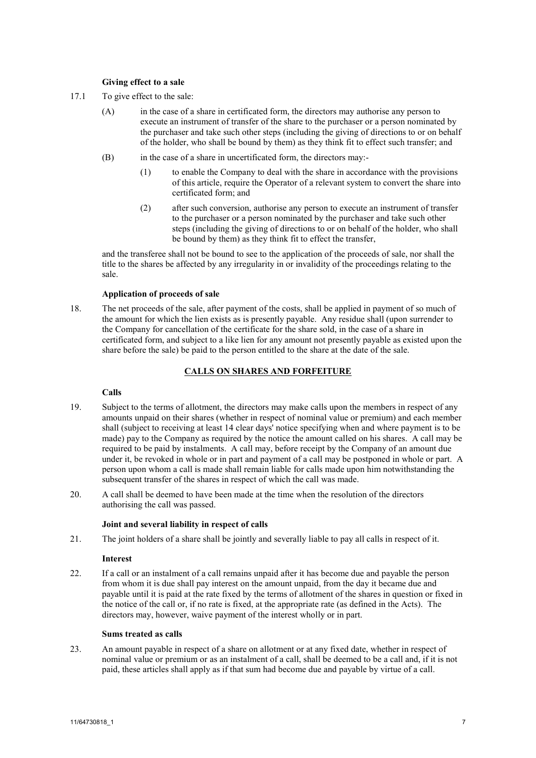## **Giving effect to a sale**

- 17.1 To give effect to the sale:
	- (A) in the case of a share in certificated form, the directors may authorise any person to execute an instrument of transfer of the share to the purchaser or a person nominated by the purchaser and take such other steps (including the giving of directions to or on behalf of the holder, who shall be bound by them) as they think fit to effect such transfer; and
	- (B) in the case of a share in uncertificated form, the directors may:-
		- (1) to enable the Company to deal with the share in accordance with the provisions of this article, require the Operator of a relevant system to convert the share into certificated form; and
		- (2) after such conversion, authorise any person to execute an instrument of transfer to the purchaser or a person nominated by the purchaser and take such other steps (including the giving of directions to or on behalf of the holder, who shall be bound by them) as they think fit to effect the transfer,

and the transferee shall not be bound to see to the application of the proceeds of sale, nor shall the title to the shares be affected by any irregularity in or invalidity of the proceedings relating to the sale.

## **Application of proceeds of sale**

18. The net proceeds of the sale, after payment of the costs, shall be applied in payment of so much of the amount for which the lien exists as is presently payable. Any residue shall (upon surrender to the Company for cancellation of the certificate for the share sold, in the case of a share in certificated form, and subject to a like lien for any amount not presently payable as existed upon the share before the sale) be paid to the person entitled to the share at the date of the sale.

## **CALLS ON SHARES AND FORFEITURE**

# **Calls**

- 19. Subject to the terms of allotment, the directors may make calls upon the members in respect of any amounts unpaid on their shares (whether in respect of nominal value or premium) and each member shall (subject to receiving at least 14 clear days' notice specifying when and where payment is to be made) pay to the Company as required by the notice the amount called on his shares. A call may be required to be paid by instalments. A call may, before receipt by the Company of an amount due under it, be revoked in whole or in part and payment of a call may be postponed in whole or part. A person upon whom a call is made shall remain liable for calls made upon him notwithstanding the subsequent transfer of the shares in respect of which the call was made.
- 20. A call shall be deemed to have been made at the time when the resolution of the directors authorising the call was passed.

#### **Joint and several liability in respect of calls**

21. The joint holders of a share shall be jointly and severally liable to pay all calls in respect of it.

#### **Interest**

22. If a call or an instalment of a call remains unpaid after it has become due and payable the person from whom it is due shall pay interest on the amount unpaid, from the day it became due and payable until it is paid at the rate fixed by the terms of allotment of the shares in question or fixed in the notice of the call or, if no rate is fixed, at the appropriate rate (as defined in the Acts). The directors may, however, waive payment of the interest wholly or in part.

## **Sums treated as calls**

23. An amount payable in respect of a share on allotment or at any fixed date, whether in respect of nominal value or premium or as an instalment of a call, shall be deemed to be a call and, if it is not paid, these articles shall apply as if that sum had become due and payable by virtue of a call.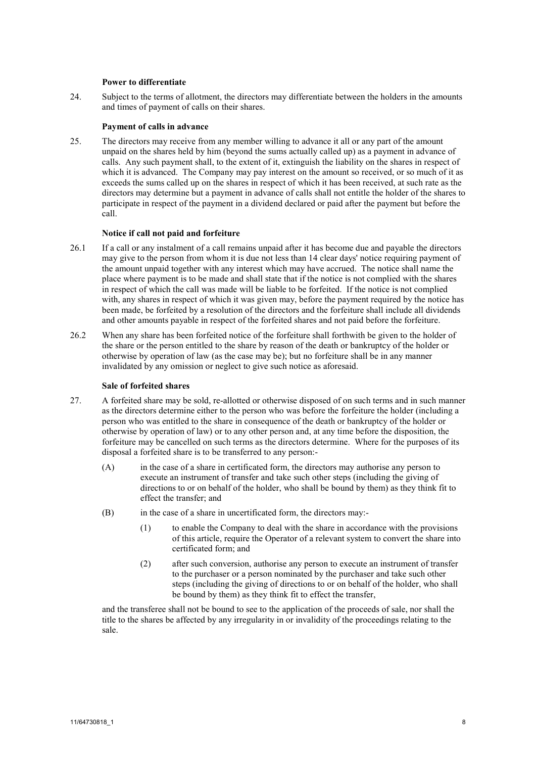#### **Power to differentiate**

24. Subject to the terms of allotment, the directors may differentiate between the holders in the amounts and times of payment of calls on their shares.

#### **Payment of calls in advance**

25. The directors may receive from any member willing to advance it all or any part of the amount unpaid on the shares held by him (beyond the sums actually called up) as a payment in advance of calls. Any such payment shall, to the extent of it, extinguish the liability on the shares in respect of which it is advanced. The Company may pay interest on the amount so received, or so much of it as exceeds the sums called up on the shares in respect of which it has been received, at such rate as the directors may determine but a payment in advance of calls shall not entitle the holder of the shares to participate in respect of the payment in a dividend declared or paid after the payment but before the call.

### **Notice if call not paid and forfeiture**

- 26.1 If a call or any instalment of a call remains unpaid after it has become due and payable the directors may give to the person from whom it is due not less than 14 clear days' notice requiring payment of the amount unpaid together with any interest which may have accrued. The notice shall name the place where payment is to be made and shall state that if the notice is not complied with the shares in respect of which the call was made will be liable to be forfeited. If the notice is not complied with, any shares in respect of which it was given may, before the payment required by the notice has been made, be forfeited by a resolution of the directors and the forfeiture shall include all dividends and other amounts payable in respect of the forfeited shares and not paid before the forfeiture.
- 26.2 When any share has been forfeited notice of the forfeiture shall forthwith be given to the holder of the share or the person entitled to the share by reason of the death or bankruptcy of the holder or otherwise by operation of law (as the case may be); but no forfeiture shall be in any manner invalidated by any omission or neglect to give such notice as aforesaid.

#### **Sale of forfeited shares**

- 27. A forfeited share may be sold, re-allotted or otherwise disposed of on such terms and in such manner as the directors determine either to the person who was before the forfeiture the holder (including a person who was entitled to the share in consequence of the death or bankruptcy of the holder or otherwise by operation of law) or to any other person and, at any time before the disposition, the forfeiture may be cancelled on such terms as the directors determine. Where for the purposes of its disposal a forfeited share is to be transferred to any person:-
	- (A) in the case of a share in certificated form, the directors may authorise any person to execute an instrument of transfer and take such other steps (including the giving of directions to or on behalf of the holder, who shall be bound by them) as they think fit to effect the transfer; and
	- (B) in the case of a share in uncertificated form, the directors may:-
		- (1) to enable the Company to deal with the share in accordance with the provisions of this article, require the Operator of a relevant system to convert the share into certificated form; and
		- (2) after such conversion, authorise any person to execute an instrument of transfer to the purchaser or a person nominated by the purchaser and take such other steps (including the giving of directions to or on behalf of the holder, who shall be bound by them) as they think fit to effect the transfer,

and the transferee shall not be bound to see to the application of the proceeds of sale, nor shall the title to the shares be affected by any irregularity in or invalidity of the proceedings relating to the sale.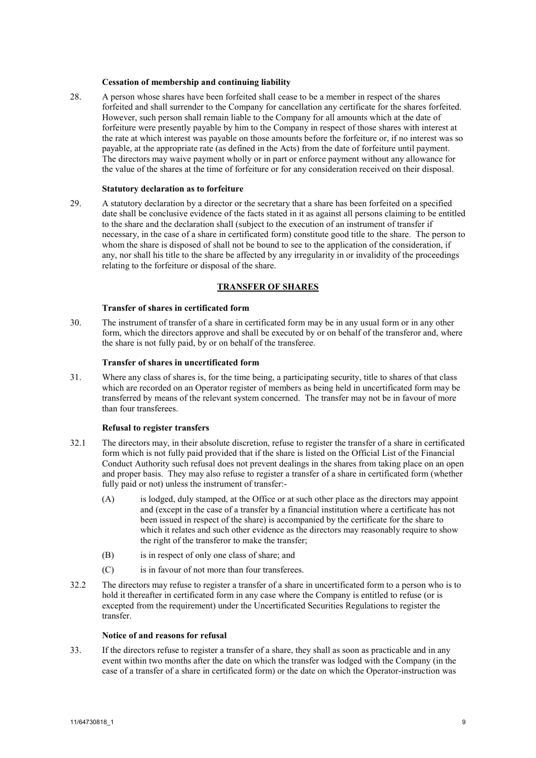#### **Cessation of membership and continuing liability**

28. A person whose shares have been forfeited shall cease to be a member in respect of the shares forfeited and shall surrender to the Company for cancellation any certificate for the shares forfeited. However, such person shall remain liable to the Company for all amounts which at the date of forfeiture were presently payable by him to the Company in respect of those shares with interest at the rate at which interest was payable on those amounts before the forfeiture or, if no interest was so payable, at the appropriate rate (as defined in the Acts) from the date of forfeiture until payment. The directors may waive payment wholly or in part or enforce payment without any allowance for the value of the shares at the time of forfeiture or for any consideration received on their disposal.

#### **Statutory declaration as to forfeiture**

29. A statutory declaration by a director or the secretary that a share has been forfeited on a specified date shall be conclusive evidence of the facts stated in it as against all persons claiming to be entitled to the share and the declaration shall (subject to the execution of an instrument of transfer if necessary, in the case of a share in certificated form) constitute good title to the share. The person to whom the share is disposed of shall not be bound to see to the application of the consideration, if any, nor shall his title to the share be affected by any irregularity in or invalidity of the proceedings relating to the forfeiture or disposal of the share.

## **TRANSFER OF SHARES**

#### **Transfer of shares in certificated form**

30. The instrument of transfer of a share in certificated form may be in any usual form or in any other form, which the directors approve and shall be executed by or on behalf of the transferor and, where the share is not fully paid, by or on behalf of the transferee.

### **Transfer of shares in uncertificated form**

31. Where any class of shares is, for the time being, a participating security, title to shares of that class which are recorded on an Operator register of members as being held in uncertificated form may be transferred by means of the relevant system concerned. The transfer may not be in favour of more than four transferees.

### **Refusal to register transfers**

- 32.1 The directors may, in their absolute discretion, refuse to register the transfer of a share in certificated form which is not fully paid provided that if the share is listed on the Official List of the Financial Conduct Authority such refusal does not prevent dealings in the shares from taking place on an open and proper basis. They may also refuse to register a transfer of a share in certificated form (whether fully paid or not) unless the instrument of transfer:-
	- (A) is lodged, duly stamped, at the Office or at such other place as the directors may appoint and (except in the case of a transfer by a financial institution where a certificate has not been issued in respect of the share) is accompanied by the certificate for the share to which it relates and such other evidence as the directors may reasonably require to show the right of the transferor to make the transfer;
	- (B) is in respect of only one class of share; and
	- (C) is in favour of not more than four transferees.
- 32.2 The directors may refuse to register a transfer of a share in uncertificated form to a person who is to hold it thereafter in certificated form in any case where the Company is entitled to refuse (or is excepted from the requirement) under the Uncertificated Securities Regulations to register the transfer.

## **Notice of and reasons for refusal**

33. If the directors refuse to register a transfer of a share, they shall as soon as practicable and in any event within two months after the date on which the transfer was lodged with the Company (in the case of a transfer of a share in certificated form) or the date on which the Operator-instruction was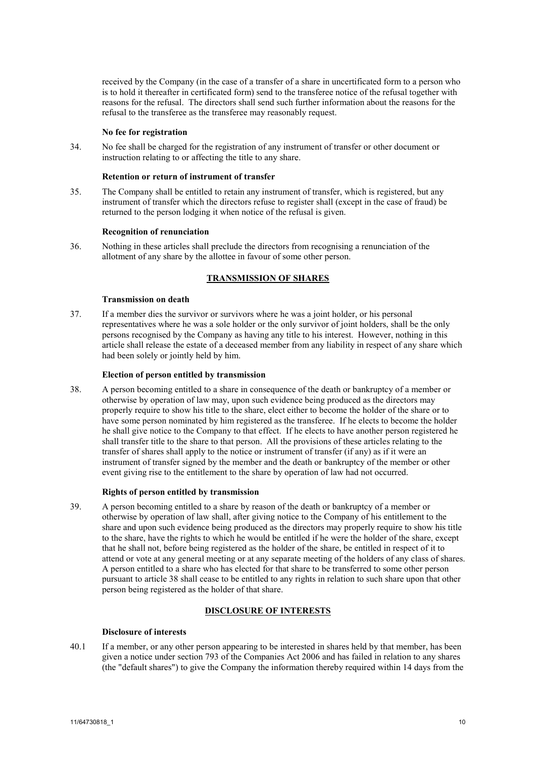received by the Company (in the case of a transfer of a share in uncertificated form to a person who is to hold it thereafter in certificated form) send to the transferee notice of the refusal together with reasons for the refusal. The directors shall send such further information about the reasons for the refusal to the transferee as the transferee may reasonably request.

## **No fee for registration**

34. No fee shall be charged for the registration of any instrument of transfer or other document or instruction relating to or affecting the title to any share.

## **Retention or return of instrument of transfer**

35. The Company shall be entitled to retain any instrument of transfer, which is registered, but any instrument of transfer which the directors refuse to register shall (except in the case of fraud) be returned to the person lodging it when notice of the refusal is given.

## **Recognition of renunciation**

36. Nothing in these articles shall preclude the directors from recognising a renunciation of the allotment of any share by the allottee in favour of some other person.

## **TRANSMISSION OF SHARES**

## **Transmission on death**

37. If a member dies the survivor or survivors where he was a joint holder, or his personal representatives where he was a sole holder or the only survivor of joint holders, shall be the only persons recognised by the Company as having any title to his interest. However, nothing in this article shall release the estate of a deceased member from any liability in respect of any share which had been solely or jointly held by him.

## **Election of person entitled by transmission**

<span id="page-9-0"></span>38. A person becoming entitled to a share in consequence of the death or bankruptcy of a member or otherwise by operation of law may, upon such evidence being produced as the directors may properly require to show his title to the share, elect either to become the holder of the share or to have some person nominated by him registered as the transferee. If he elects to become the holder he shall give notice to the Company to that effect. If he elects to have another person registered he shall transfer title to the share to that person. All the provisions of these articles relating to the transfer of shares shall apply to the notice or instrument of transfer (if any) as if it were an instrument of transfer signed by the member and the death or bankruptcy of the member or other event giving rise to the entitlement to the share by operation of law had not occurred.

## **Rights of person entitled by transmission**

39. A person becoming entitled to a share by reason of the death or bankruptcy of a member or otherwise by operation of law shall, after giving notice to the Company of his entitlement to the share and upon such evidence being produced as the directors may properly require to show his title to the share, have the rights to which he would be entitled if he were the holder of the share, except that he shall not, before being registered as the holder of the share, be entitled in respect of it to attend or vote at any general meeting or at any separate meeting of the holders of any class of shares. A person entitled to a share who has elected for that share to be transferred to some other person pursuant to article [38](#page-9-0) shall cease to be entitled to any rights in relation to such share upon that other person being registered as the holder of that share.

# **DISCLOSURE OF INTERESTS**

### <span id="page-9-1"></span>**Disclosure of interests**

40.1 If a member, or any other person appearing to be interested in shares held by that member, has been given a notice under section 793 of the Companies Act 2006 and has failed in relation to any shares (the "default shares") to give the Company the information thereby required within 14 days from the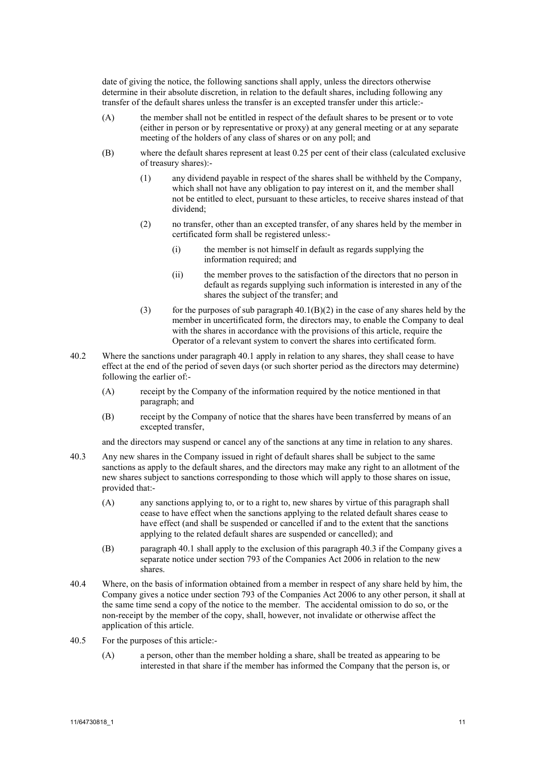date of giving the notice, the following sanctions shall apply, unless the directors otherwise determine in their absolute discretion, in relation to the default shares, including following any transfer of the default shares unless the transfer is an excepted transfer under this article:-

- (A) the member shall not be entitled in respect of the default shares to be present or to vote (either in person or by representative or proxy) at any general meeting or at any separate meeting of the holders of any class of shares or on any poll; and
- <span id="page-10-0"></span>(B) where the default shares represent at least 0.25 per cent of their class (calculated exclusive of treasury shares):-
	- (1) any dividend payable in respect of the shares shall be withheld by the Company, which shall not have any obligation to pay interest on it, and the member shall not be entitled to elect, pursuant to these articles, to receive shares instead of that dividend;
	- (2) no transfer, other than an excepted transfer, of any shares held by the member in certificated form shall be registered unless:-
		- (i) the member is not himself in default as regards supplying the information required; and
		- (ii) the member proves to the satisfaction of the directors that no person in default as regards supplying such information is interested in any of the shares the subject of the transfer; and
	- (3) for the purposes of sub paragraph  $40.1(B)(2)$  in the case of any shares held by the member in uncertificated form, the directors may, to enable the Company to deal with the shares in accordance with the provisions of this article, require the Operator of a relevant system to convert the shares into certificated form.
- 40.2 Where the sanctions under paragrap[h 40.1](#page-9-1) apply in relation to any shares, they shall cease to have effect at the end of the period of seven days (or such shorter period as the directors may determine) following the earlier of:-
	- (A) receipt by the Company of the information required by the notice mentioned in that paragraph; and
	- (B) receipt by the Company of notice that the shares have been transferred by means of an excepted transfer,

and the directors may suspend or cancel any of the sanctions at any time in relation to any shares.

- <span id="page-10-1"></span>40.3 Any new shares in the Company issued in right of default shares shall be subject to the same sanctions as apply to the default shares, and the directors may make any right to an allotment of the new shares subject to sanctions corresponding to those which will apply to those shares on issue, provided that:-
	- (A) any sanctions applying to, or to a right to, new shares by virtue of this paragraph shall cease to have effect when the sanctions applying to the related default shares cease to have effect (and shall be suspended or cancelled if and to the extent that the sanctions applying to the related default shares are suspended or cancelled); and
	- (B) paragrap[h 40.1](#page-9-1) shall apply to the exclusion of this paragrap[h 40.3](#page-10-1) if the Company gives a separate notice under section 793 of the Companies Act 2006 in relation to the new shares.
- 40.4 Where, on the basis of information obtained from a member in respect of any share held by him, the Company gives a notice under section 793 of the Companies Act 2006 to any other person, it shall at the same time send a copy of the notice to the member. The accidental omission to do so, or the non-receipt by the member of the copy, shall, however, not invalidate or otherwise affect the application of this article.
- 40.5 For the purposes of this article:-
	- (A) a person, other than the member holding a share, shall be treated as appearing to be interested in that share if the member has informed the Company that the person is, or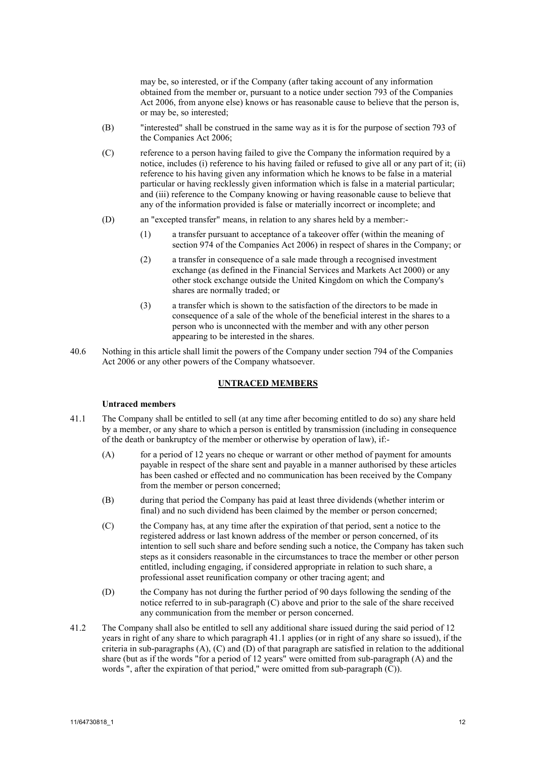may be, so interested, or if the Company (after taking account of any information obtained from the member or, pursuant to a notice under section 793 of the Companies Act 2006, from anyone else) knows or has reasonable cause to believe that the person is, or may be, so interested;

- <span id="page-11-4"></span>(B) "interested" shall be construed in the same way as it is for the purpose of section 793 of the Companies Act 2006;
- (C) reference to a person having failed to give the Company the information required by a notice, includes (i) reference to his having failed or refused to give all or any part of it; (ii) reference to his having given any information which he knows to be false in a material particular or having recklessly given information which is false in a material particular; and (iii) reference to the Company knowing or having reasonable cause to believe that any of the information provided is false or materially incorrect or incomplete; and
- (D) an "excepted transfer" means, in relation to any shares held by a member:-
	- (1) a transfer pursuant to acceptance of a takeover offer (within the meaning of section 974 of the Companies Act 2006) in respect of shares in the Company; or
	- (2) a transfer in consequence of a sale made through a recognised investment exchange (as defined in the Financial Services and Markets Act 2000) or any other stock exchange outside the United Kingdom on which the Company's shares are normally traded; or
	- (3) a transfer which is shown to the satisfaction of the directors to be made in consequence of a sale of the whole of the beneficial interest in the shares to a person who is unconnected with the member and with any other person appearing to be interested in the shares.
- 40.6 Nothing in this article shall limit the powers of the Company under section 794 of the Companies Act 2006 or any other powers of the Company whatsoever.

#### **UNTRACED MEMBERS**

#### <span id="page-11-1"></span>**Untraced members**

- <span id="page-11-2"></span>41.1 The Company shall be entitled to sell (at any time after becoming entitled to do so) any share held by a member, or any share to which a person is entitled by transmission (including in consequence of the death or bankruptcy of the member or otherwise by operation of law), if:-
	- (A) for a period of 12 years no cheque or warrant or other method of payment for amounts payable in respect of the share sent and payable in a manner authorised by these articles has been cashed or effected and no communication has been received by the Company from the member or person concerned;
	- (B) during that period the Company has paid at least three dividends (whether interim or final) and no such dividend has been claimed by the member or person concerned;
	- (C) the Company has, at any time after the expiration of that period, sent a notice to the registered address or last known address of the member or person concerned, of its intention to sell such share and before sending such a notice, the Company has taken such steps as it considers reasonable in the circumstances to trace the member or other person entitled, including engaging, if considered appropriate in relation to such share, a professional asset reunification company or other tracing agent; and
	- (D) the Company has not during the further period of 90 days following the sending of the notice referred to in sub-paragraph [\(C\)](#page-11-0) above and prior to the sale of the share received any communication from the member or person concerned.
- <span id="page-11-3"></span><span id="page-11-0"></span>41.2 The Company shall also be entitled to sell any additional share issued during the said period of 12 years in right of any share to which paragrap[h 41.1](#page-11-1) applies (or in right of any share so issued), if the criteria in sub-paragraphs [\(A\),](#page-11-2) [\(C\)](#page-11-0) an[d \(D\)](#page-11-3) of that paragraph are satisfied in relation to the additional share (but as if the words "for a period of 12 years" were omitted from sub-paragraph [\(A\)](#page-11-2) and the words ", after the expiration of that period," were omitted from sub-paragrap[h \(C\)\)](#page-11-0).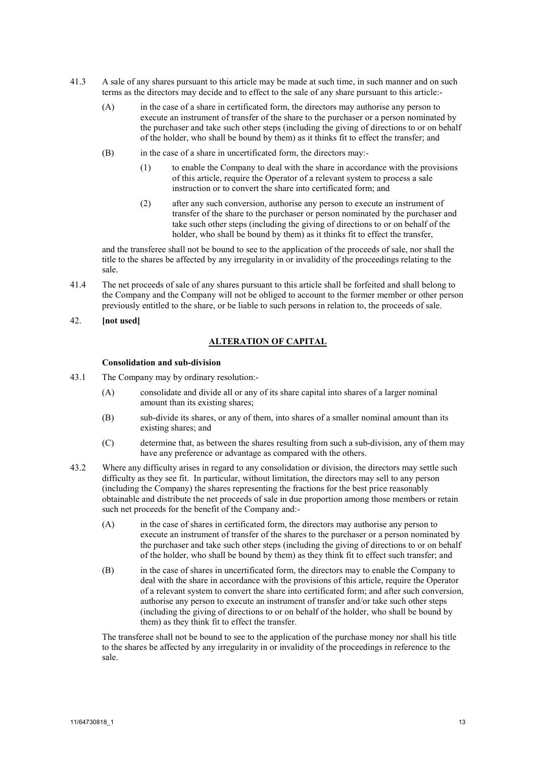- 41.3 A sale of any shares pursuant to this article may be made at such time, in such manner and on such terms as the directors may decide and to effect to the sale of any share pursuant to this article:-
	- (A) in the case of a share in certificated form, the directors may authorise any person to execute an instrument of transfer of the share to the purchaser or a person nominated by the purchaser and take such other steps (including the giving of directions to or on behalf of the holder, who shall be bound by them) as it thinks fit to effect the transfer; and
	- (B) in the case of a share in uncertificated form, the directors may:-
		- (1) to enable the Company to deal with the share in accordance with the provisions of this article, require the Operator of a relevant system to process a sale instruction or to convert the share into certificated form; and
		- (2) after any such conversion, authorise any person to execute an instrument of transfer of the share to the purchaser or person nominated by the purchaser and take such other steps (including the giving of directions to or on behalf of the holder, who shall be bound by them) as it thinks fit to effect the transfer,

and the transferee shall not be bound to see to the application of the proceeds of sale, nor shall the title to the shares be affected by any irregularity in or invalidity of the proceedings relating to the sale.

- 41.4 The net proceeds of sale of any shares pursuant to this article shall be forfeited and shall belong to the Company and the Company will not be obliged to account to the former member or other person previously entitled to the share, or be liable to such persons in relation to, the proceeds of sale.
- 42. **[not used]**

## **ALTERATION OF CAPITAL**

## **Consolidation and sub-division**

- 43.1 The Company may by ordinary resolution:-
	- (A) consolidate and divide all or any of its share capital into shares of a larger nominal amount than its existing shares;
	- (B) sub-divide its shares, or any of them, into shares of a smaller nominal amount than its existing shares; and
	- (C) determine that, as between the shares resulting from such a sub-division, any of them may have any preference or advantage as compared with the others.
- 43.2 Where any difficulty arises in regard to any consolidation or division, the directors may settle such difficulty as they see fit. In particular, without limitation, the directors may sell to any person (including the Company) the shares representing the fractions for the best price reasonably obtainable and distribute the net proceeds of sale in due proportion among those members or retain such net proceeds for the benefit of the Company and:-
	- (A) in the case of shares in certificated form, the directors may authorise any person to execute an instrument of transfer of the shares to the purchaser or a person nominated by the purchaser and take such other steps (including the giving of directions to or on behalf of the holder, who shall be bound by them) as they think fit to effect such transfer; and
	- (B) in the case of shares in uncertificated form, the directors may to enable the Company to deal with the share in accordance with the provisions of this article, require the Operator of a relevant system to convert the share into certificated form; and after such conversion, authorise any person to execute an instrument of transfer and/or take such other steps (including the giving of directions to or on behalf of the holder, who shall be bound by them) as they think fit to effect the transfer.

The transferee shall not be bound to see to the application of the purchase money nor shall his title to the shares be affected by any irregularity in or invalidity of the proceedings in reference to the sale.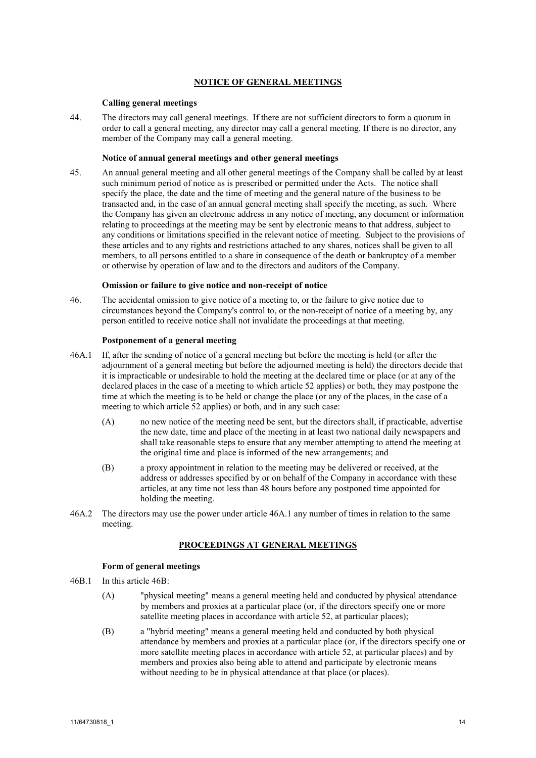## **NOTICE OF GENERAL MEETINGS**

## **Calling general meetings**

<span id="page-13-1"></span>44. The directors may call general meetings. If there are not sufficient directors to form a quorum in order to call a general meeting, any director may call a general meeting. If there is no director, any member of the Company may call a general meeting.

## **Notice of annual general meetings and other general meetings**

<span id="page-13-3"></span>45. An annual general meeting and all other general meetings of the Company shall be called by at least such minimum period of notice as is prescribed or permitted under the Acts. The notice shall specify the place, the date and the time of meeting and the general nature of the business to be transacted and, in the case of an annual general meeting shall specify the meeting, as such. Where the Company has given an electronic address in any notice of meeting, any document or information relating to proceedings at the meeting may be sent by electronic means to that address, subject to any conditions or limitations specified in the relevant notice of meeting. Subject to the provisions of these articles and to any rights and restrictions attached to any shares, notices shall be given to all members, to all persons entitled to a share in consequence of the death or bankruptcy of a member or otherwise by operation of law and to the directors and auditors of the Company.

#### **Omission or failure to give notice and non-receipt of notice**

<span id="page-13-2"></span>46. The accidental omission to give notice of a meeting to, or the failure to give notice due to circumstances beyond the Company's control to, or the non-receipt of notice of a meeting by, any person entitled to receive notice shall not invalidate the proceedings at that meeting.

#### <span id="page-13-0"></span>**Postponement of a general meeting**

- 46A.1 If, after the sending of notice of a general meeting but before the meeting is held (or after the adjournment of a general meeting but before the adjourned meeting is held) the directors decide that it is impracticable or undesirable to hold the meeting at the declared time or place (or at any of the declared places in the case of a meeting to which article [52](#page-15-0) applies) or both, they may postpone the time at which the meeting is to be held or change the place (or any of the places, in the case of a meeting to which article [52](#page-15-0) applies) or both, and in any such case:
	- (A) no new notice of the meeting need be sent, but the directors shall, if practicable, advertise the new date, time and place of the meeting in at least two national daily newspapers and shall take reasonable steps to ensure that any member attempting to attend the meeting at the original time and place is informed of the new arrangements; and
	- (B) a proxy appointment in relation to the meeting may be delivered or received, at the address or addresses specified by or on behalf of the Company in accordance with these articles, at any time not less than 48 hours before any postponed time appointed for holding the meeting.
- 46A.2 The directors may use the power under article [46A.1](#page-13-0) any number of times in relation to the same meeting.

#### **PROCEEDINGS AT GENERAL MEETINGS**

### **Form of general meetings**

- 46B.1 In this articl[e 46B:](#page-13-1)
	- (A) "physical meeting" means a general meeting held and conducted by physical attendance by members and proxies at a particular place (or, if the directors specify one or more satellite meeting places in accordance with article [52,](#page-15-0) at particular places);
	- (B) a "hybrid meeting" means a general meeting held and conducted by both physical attendance by members and proxies at a particular place (or, if the directors specify one or more satellite meeting places in accordance with article [52,](#page-15-0) at particular places) and by members and proxies also being able to attend and participate by electronic means without needing to be in physical attendance at that place (or places).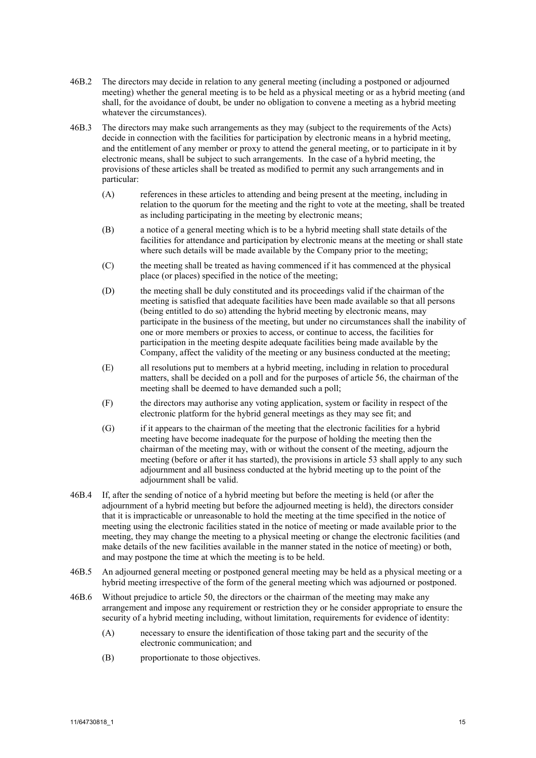- 46B.2 The directors may decide in relation to any general meeting (including a postponed or adjourned meeting) whether the general meeting is to be held as a physical meeting or as a hybrid meeting (and shall, for the avoidance of doubt, be under no obligation to convene a meeting as a hybrid meeting whatever the circumstances).
- 46B.3 The directors may make such arrangements as they may (subject to the requirements of the Acts) decide in connection with the facilities for participation by electronic means in a hybrid meeting, and the entitlement of any member or proxy to attend the general meeting, or to participate in it by electronic means, shall be subject to such arrangements. In the case of a hybrid meeting, the provisions of these articles shall be treated as modified to permit any such arrangements and in particular:
	- (A) references in these articles to attending and being present at the meeting, including in relation to the quorum for the meeting and the right to vote at the meeting, shall be treated as including participating in the meeting by electronic means;
	- (B) a notice of a general meeting which is to be a hybrid meeting shall state details of the facilities for attendance and participation by electronic means at the meeting or shall state where such details will be made available by the Company prior to the meeting;
	- (C) the meeting shall be treated as having commenced if it has commenced at the physical place (or places) specified in the notice of the meeting;
	- (D) the meeting shall be duly constituted and its proceedings valid if the chairman of the meeting is satisfied that adequate facilities have been made available so that all persons (being entitled to do so) attending the hybrid meeting by electronic means, may participate in the business of the meeting, but under no circumstances shall the inability of one or more members or proxies to access, or continue to access, the facilities for participation in the meeting despite adequate facilities being made available by the Company, affect the validity of the meeting or any business conducted at the meeting;
	- (E) all resolutions put to members at a hybrid meeting, including in relation to procedural matters, shall be decided on a poll and for the purposes of article [56,](#page-17-0) the chairman of the meeting shall be deemed to have demanded such a poll;
	- (F) the directors may authorise any voting application, system or facility in respect of the electronic platform for the hybrid general meetings as they may see fit; and
	- (G) if it appears to the chairman of the meeting that the electronic facilities for a hybrid meeting have become inadequate for the purpose of holding the meeting then the chairman of the meeting may, with or without the consent of the meeting, adjourn the meeting (before or after it has started), the provisions in article [53](#page-16-0) shall apply to any such adjournment and all business conducted at the hybrid meeting up to the point of the adjournment shall be valid.
- 46B.4 If, after the sending of notice of a hybrid meeting but before the meeting is held (or after the adjournment of a hybrid meeting but before the adjourned meeting is held), the directors consider that it is impracticable or unreasonable to hold the meeting at the time specified in the notice of meeting using the electronic facilities stated in the notice of meeting or made available prior to the meeting, they may change the meeting to a physical meeting or change the electronic facilities (and make details of the new facilities available in the manner stated in the notice of meeting) or both, and may postpone the time at which the meeting is to be held.
- 46B.5 An adjourned general meeting or postponed general meeting may be held as a physical meeting or a hybrid meeting irrespective of the form of the general meeting which was adjourned or postponed.
- 46B.6 Without prejudice to article [50,](#page-15-0) the directors or the chairman of the meeting may make any arrangement and impose any requirement or restriction they or he consider appropriate to ensure the security of a hybrid meeting including, without limitation, requirements for evidence of identity:
	- (A) necessary to ensure the identification of those taking part and the security of the electronic communication; and
	- (B) proportionate to those objectives.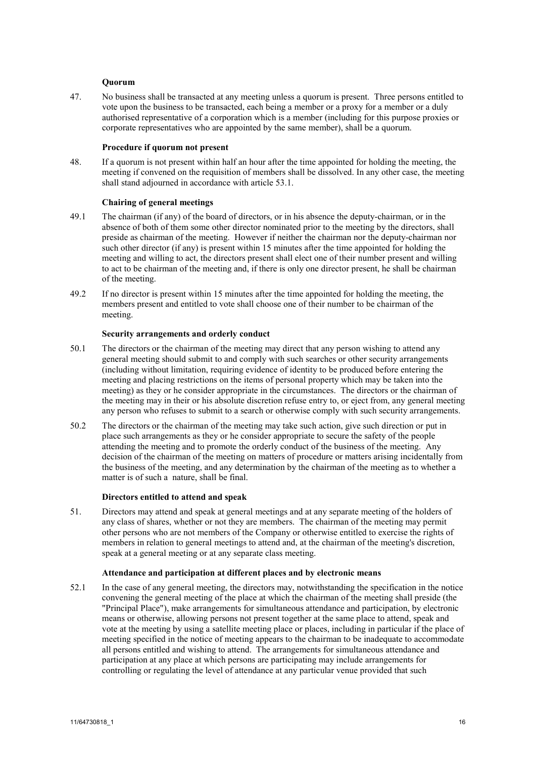### **Quorum**

<span id="page-15-0"></span>47. No business shall be transacted at any meeting unless a quorum is present. Three persons entitled to vote upon the business to be transacted, each being a member or a proxy for a member or a duly authorised representative of a corporation which is a member (including for this purpose proxies or corporate representatives who are appointed by the same member), shall be a quorum.

## **Procedure if quorum not present**

48. If a quorum is not present within half an hour after the time appointed for holding the meeting, the meeting if convened on the requisition of members shall be dissolved. In any other case, the meeting shall stand adjourned in accordance with article [53.1.](#page-16-1)

## **Chairing of general meetings**

- 49.1 The chairman (if any) of the board of directors, or in his absence the deputy-chairman, or in the absence of both of them some other director nominated prior to the meeting by the directors, shall preside as chairman of the meeting. However if neither the chairman nor the deputy-chairman nor such other director (if any) is present within 15 minutes after the time appointed for holding the meeting and willing to act, the directors present shall elect one of their number present and willing to act to be chairman of the meeting and, if there is only one director present, he shall be chairman of the meeting.
- 49.2 If no director is present within 15 minutes after the time appointed for holding the meeting, the members present and entitled to vote shall choose one of their number to be chairman of the meeting.

## **Security arrangements and orderly conduct**

- 50.1 The directors or the chairman of the meeting may direct that any person wishing to attend any general meeting should submit to and comply with such searches or other security arrangements (including without limitation, requiring evidence of identity to be produced before entering the meeting and placing restrictions on the items of personal property which may be taken into the meeting) as they or he consider appropriate in the circumstances. The directors or the chairman of the meeting may in their or his absolute discretion refuse entry to, or eject from, any general meeting any person who refuses to submit to a search or otherwise comply with such security arrangements.
- 50.2 The directors or the chairman of the meeting may take such action, give such direction or put in place such arrangements as they or he consider appropriate to secure the safety of the people attending the meeting and to promote the orderly conduct of the business of the meeting. Any decision of the chairman of the meeting on matters of procedure or matters arising incidentally from the business of the meeting, and any determination by the chairman of the meeting as to whether a matter is of such a nature, shall be final.

## **Directors entitled to attend and speak**

51. Directors may attend and speak at general meetings and at any separate meeting of the holders of any class of shares, whether or not they are members. The chairman of the meeting may permit other persons who are not members of the Company or otherwise entitled to exercise the rights of members in relation to general meetings to attend and, at the chairman of the meeting's discretion, speak at a general meeting or at any separate class meeting.

#### <span id="page-15-1"></span>**Attendance and participation at different places and by electronic means**

52.1 In the case of any general meeting, the directors may, notwithstanding the specification in the notice convening the general meeting of the place at which the chairman of the meeting shall preside (the "Principal Place"), make arrangements for simultaneous attendance and participation, by electronic means or otherwise, allowing persons not present together at the same place to attend, speak and vote at the meeting by using a satellite meeting place or places, including in particular if the place of meeting specified in the notice of meeting appears to the chairman to be inadequate to accommodate all persons entitled and wishing to attend. The arrangements for simultaneous attendance and participation at any place at which persons are participating may include arrangements for controlling or regulating the level of attendance at any particular venue provided that such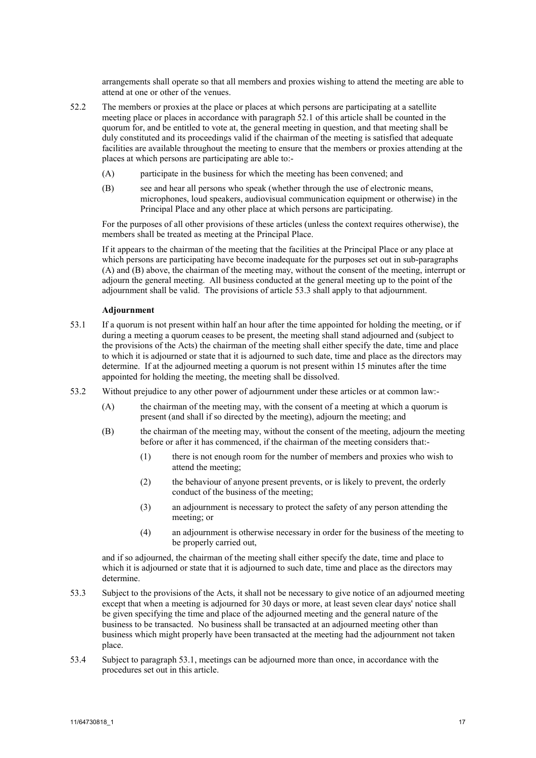arrangements shall operate so that all members and proxies wishing to attend the meeting are able to attend at one or other of the venues.

- <span id="page-16-0"></span>52.2 The members or proxies at the place or places at which persons are participating at a satellite meeting place or places in accordance with paragraph [52.1](#page-15-1) of this article shall be counted in the quorum for, and be entitled to vote at, the general meeting in question, and that meeting shall be duly constituted and its proceedings valid if the chairman of the meeting is satisfied that adequate facilities are available throughout the meeting to ensure that the members or proxies attending at the places at which persons are participating are able to:-
	- (A) participate in the business for which the meeting has been convened; and
	- (B) see and hear all persons who speak (whether through the use of electronic means, microphones, loud speakers, audiovisual communication equipment or otherwise) in the Principal Place and any other place at which persons are participating.

<span id="page-16-3"></span><span id="page-16-2"></span>For the purposes of all other provisions of these articles (unless the context requires otherwise), the members shall be treated as meeting at the Principal Place.

If it appears to the chairman of the meeting that the facilities at the Principal Place or any place at which persons are participating have become inadequate for the purposes set out in sub-paragraphs [\(A\)](#page-16-2) and [\(B\)](#page-16-3) above, the chairman of the meeting may, without the consent of the meeting, interrupt or adjourn the general meeting. All business conducted at the general meeting up to the point of the adjournment shall be valid. The provisions of article [53.3](#page-16-4) shall apply to that adjournment.

## <span id="page-16-1"></span>**Adjournment**

- 53.1 If a quorum is not present within half an hour after the time appointed for holding the meeting, or if during a meeting a quorum ceases to be present, the meeting shall stand adjourned and (subject to the provisions of the Acts) the chairman of the meeting shall either specify the date, time and place to which it is adjourned or state that it is adjourned to such date, time and place as the directors may determine. If at the adjourned meeting a quorum is not present within 15 minutes after the time appointed for holding the meeting, the meeting shall be dissolved.
- 53.2 Without prejudice to any other power of adjournment under these articles or at common law:-
	- (A) the chairman of the meeting may, with the consent of a meeting at which a quorum is present (and shall if so directed by the meeting), adjourn the meeting; and
	- (B) the chairman of the meeting may, without the consent of the meeting, adjourn the meeting before or after it has commenced, if the chairman of the meeting considers that:-
		- (1) there is not enough room for the number of members and proxies who wish to attend the meeting;
		- (2) the behaviour of anyone present prevents, or is likely to prevent, the orderly conduct of the business of the meeting;
		- (3) an adjournment is necessary to protect the safety of any person attending the meeting; or
		- (4) an adjournment is otherwise necessary in order for the business of the meeting to be properly carried out,

and if so adjourned, the chairman of the meeting shall either specify the date, time and place to which it is adjourned or state that it is adjourned to such date, time and place as the directors may determine.

- <span id="page-16-4"></span>53.3 Subject to the provisions of the Acts, it shall not be necessary to give notice of an adjourned meeting except that when a meeting is adjourned for 30 days or more, at least seven clear days' notice shall be given specifying the time and place of the adjourned meeting and the general nature of the business to be transacted. No business shall be transacted at an adjourned meeting other than business which might properly have been transacted at the meeting had the adjournment not taken place.
- 53.4 Subject to paragraph [53.1,](#page-16-1) meetings can be adjourned more than once, in accordance with the procedures set out in this article.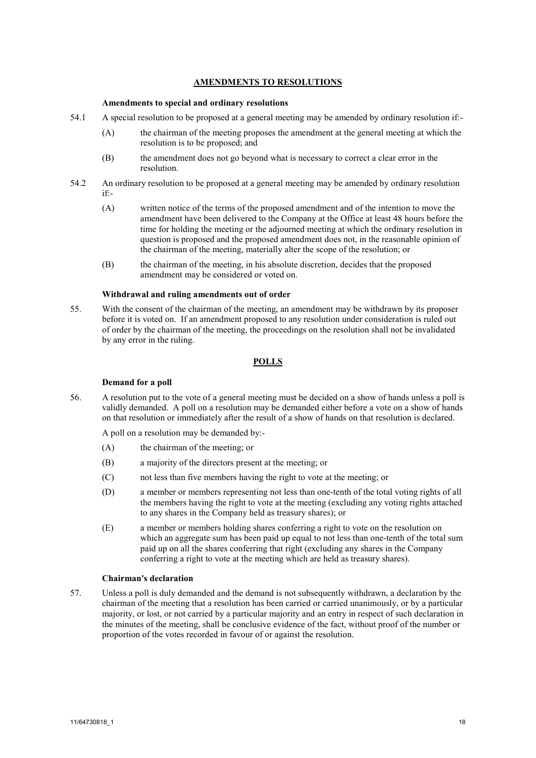## **AMENDMENTS TO RESOLUTIONS**

### **Amendments to special and ordinary resolutions**

- 54.1 A special resolution to be proposed at a general meeting may be amended by ordinary resolution if:-
	- (A) the chairman of the meeting proposes the amendment at the general meeting at which the resolution is to be proposed; and
	- (B) the amendment does not go beyond what is necessary to correct a clear error in the resolution.
- 54.2 An ordinary resolution to be proposed at a general meeting may be amended by ordinary resolution if:-
	- (A) written notice of the terms of the proposed amendment and of the intention to move the amendment have been delivered to the Company at the Office at least 48 hours before the time for holding the meeting or the adjourned meeting at which the ordinary resolution in question is proposed and the proposed amendment does not, in the reasonable opinion of the chairman of the meeting, materially alter the scope of the resolution; or
	- (B) the chairman of the meeting, in his absolute discretion, decides that the proposed amendment may be considered or voted on.

#### **Withdrawal and ruling amendments out of order**

55. With the consent of the chairman of the meeting, an amendment may be withdrawn by its proposer before it is voted on. If an amendment proposed to any resolution under consideration is ruled out of order by the chairman of the meeting, the proceedings on the resolution shall not be invalidated by any error in the ruling.

## **POLLS**

### **Demand for a poll**

<span id="page-17-0"></span>56. A resolution put to the vote of a general meeting must be decided on a show of hands unless a poll is validly demanded. A poll on a resolution may be demanded either before a vote on a show of hands on that resolution or immediately after the result of a show of hands on that resolution is declared.

A poll on a resolution may be demanded by:-

- (A) the chairman of the meeting; or
- (B) a majority of the directors present at the meeting; or
- (C) not less than five members having the right to vote at the meeting; or
- (D) a member or members representing not less than one-tenth of the total voting rights of all the members having the right to vote at the meeting (excluding any voting rights attached to any shares in the Company held as treasury shares); or
- (E) a member or members holding shares conferring a right to vote on the resolution on which an aggregate sum has been paid up equal to not less than one-tenth of the total sum paid up on all the shares conferring that right (excluding any shares in the Company conferring a right to vote at the meeting which are held as treasury shares).

#### **Chairman's declaration**

57. Unless a poll is duly demanded and the demand is not subsequently withdrawn, a declaration by the chairman of the meeting that a resolution has been carried or carried unanimously, or by a particular majority, or lost, or not carried by a particular majority and an entry in respect of such declaration in the minutes of the meeting, shall be conclusive evidence of the fact, without proof of the number or proportion of the votes recorded in favour of or against the resolution.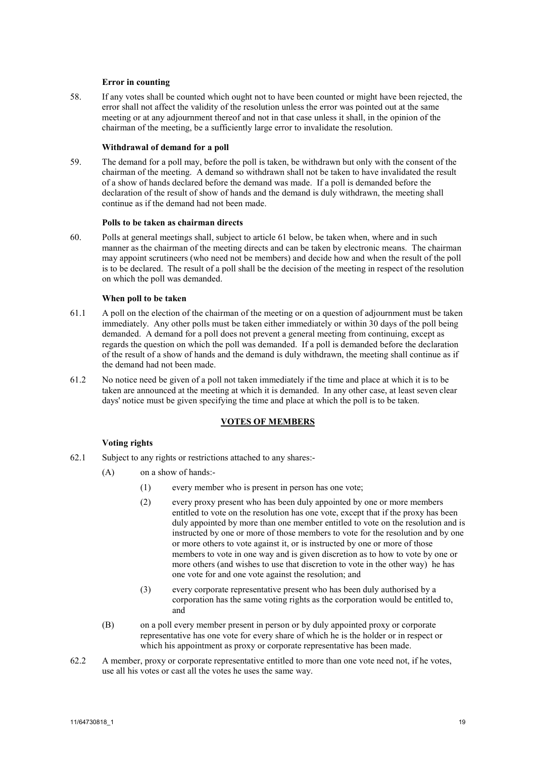#### **Error in counting**

<span id="page-18-0"></span>58. If any votes shall be counted which ought not to have been counted or might have been rejected, the error shall not affect the validity of the resolution unless the error was pointed out at the same meeting or at any adjournment thereof and not in that case unless it shall, in the opinion of the chairman of the meeting, be a sufficiently large error to invalidate the resolution.

## **Withdrawal of demand for a poll**

59. The demand for a poll may, before the poll is taken, be withdrawn but only with the consent of the chairman of the meeting. A demand so withdrawn shall not be taken to have invalidated the result of a show of hands declared before the demand was made. If a poll is demanded before the declaration of the result of show of hands and the demand is duly withdrawn, the meeting shall continue as if the demand had not been made.

### **Polls to be taken as chairman directs**

60. Polls at general meetings shall, subject to articl[e 61](#page-18-0) below, be taken when, where and in such manner as the chairman of the meeting directs and can be taken by electronic means. The chairman may appoint scrutineers (who need not be members) and decide how and when the result of the poll is to be declared. The result of a poll shall be the decision of the meeting in respect of the resolution on which the poll was demanded.

#### **When poll to be taken**

- 61.1 A poll on the election of the chairman of the meeting or on a question of adjournment must be taken immediately. Any other polls must be taken either immediately or within 30 days of the poll being demanded. A demand for a poll does not prevent a general meeting from continuing, except as regards the question on which the poll was demanded. If a poll is demanded before the declaration of the result of a show of hands and the demand is duly withdrawn, the meeting shall continue as if the demand had not been made.
- 61.2 No notice need be given of a poll not taken immediately if the time and place at which it is to be taken are announced at the meeting at which it is demanded. In any other case, at least seven clear days' notice must be given specifying the time and place at which the poll is to be taken.

### **VOTES OF MEMBERS**

#### **Voting rights**

- 62.1 Subject to any rights or restrictions attached to any shares:-
	- (A) on a show of hands:-
		- (1) every member who is present in person has one vote;
		- (2) every proxy present who has been duly appointed by one or more members entitled to vote on the resolution has one vote, except that if the proxy has been duly appointed by more than one member entitled to vote on the resolution and is instructed by one or more of those members to vote for the resolution and by one or more others to vote against it, or is instructed by one or more of those members to vote in one way and is given discretion as to how to vote by one or more others (and wishes to use that discretion to vote in the other way) he has one vote for and one vote against the resolution; and
		- (3) every corporate representative present who has been duly authorised by a corporation has the same voting rights as the corporation would be entitled to, and
	- (B) on a poll every member present in person or by duly appointed proxy or corporate representative has one vote for every share of which he is the holder or in respect or which his appointment as proxy or corporate representative has been made.
- 62.2 A member, proxy or corporate representative entitled to more than one vote need not, if he votes, use all his votes or cast all the votes he uses the same way.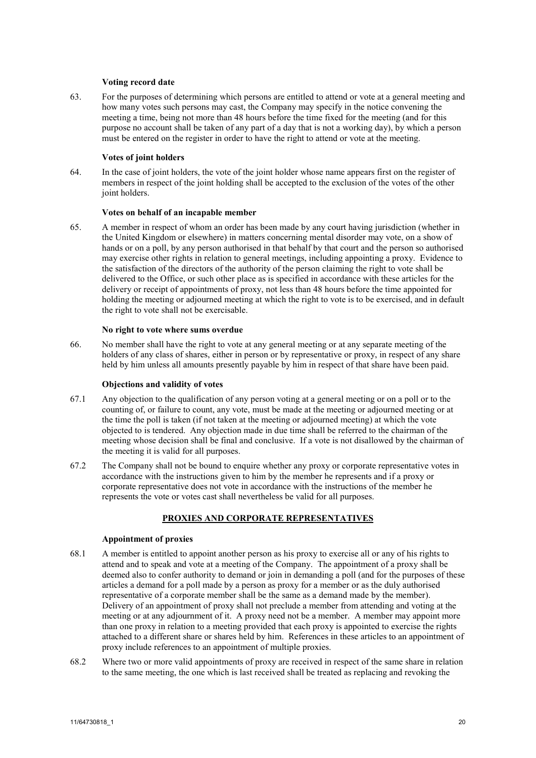#### **Voting record date**

63. For the purposes of determining which persons are entitled to attend or vote at a general meeting and how many votes such persons may cast, the Company may specify in the notice convening the meeting a time, being not more than 48 hours before the time fixed for the meeting (and for this purpose no account shall be taken of any part of a day that is not a working day), by which a person must be entered on the register in order to have the right to attend or vote at the meeting.

## **Votes of joint holders**

64. In the case of joint holders, the vote of the joint holder whose name appears first on the register of members in respect of the joint holding shall be accepted to the exclusion of the votes of the other joint holders.

#### **Votes on behalf of an incapable member**

65. A member in respect of whom an order has been made by any court having jurisdiction (whether in the United Kingdom or elsewhere) in matters concerning mental disorder may vote, on a show of hands or on a poll, by any person authorised in that behalf by that court and the person so authorised may exercise other rights in relation to general meetings, including appointing a proxy. Evidence to the satisfaction of the directors of the authority of the person claiming the right to vote shall be delivered to the Office, or such other place as is specified in accordance with these articles for the delivery or receipt of appointments of proxy, not less than 48 hours before the time appointed for holding the meeting or adjourned meeting at which the right to vote is to be exercised, and in default the right to vote shall not be exercisable.

## **No right to vote where sums overdue**

66. No member shall have the right to vote at any general meeting or at any separate meeting of the holders of any class of shares, either in person or by representative or proxy, in respect of any share held by him unless all amounts presently payable by him in respect of that share have been paid.

## **Objections and validity of votes**

- 67.1 Any objection to the qualification of any person voting at a general meeting or on a poll or to the counting of, or failure to count, any vote, must be made at the meeting or adjourned meeting or at the time the poll is taken (if not taken at the meeting or adjourned meeting) at which the vote objected to is tendered. Any objection made in due time shall be referred to the chairman of the meeting whose decision shall be final and conclusive. If a vote is not disallowed by the chairman of the meeting it is valid for all purposes.
- 67.2 The Company shall not be bound to enquire whether any proxy or corporate representative votes in accordance with the instructions given to him by the member he represents and if a proxy or corporate representative does not vote in accordance with the instructions of the member he represents the vote or votes cast shall nevertheless be valid for all purposes.

## **PROXIES AND CORPORATE REPRESENTATIVES**

## **Appointment of proxies**

- 68.1 A member is entitled to appoint another person as his proxy to exercise all or any of his rights to attend and to speak and vote at a meeting of the Company. The appointment of a proxy shall be deemed also to confer authority to demand or join in demanding a poll (and for the purposes of these articles a demand for a poll made by a person as proxy for a member or as the duly authorised representative of a corporate member shall be the same as a demand made by the member). Delivery of an appointment of proxy shall not preclude a member from attending and voting at the meeting or at any adjournment of it. A proxy need not be a member. A member may appoint more than one proxy in relation to a meeting provided that each proxy is appointed to exercise the rights attached to a different share or shares held by him. References in these articles to an appointment of proxy include references to an appointment of multiple proxies.
- 68.2 Where two or more valid appointments of proxy are received in respect of the same share in relation to the same meeting, the one which is last received shall be treated as replacing and revoking the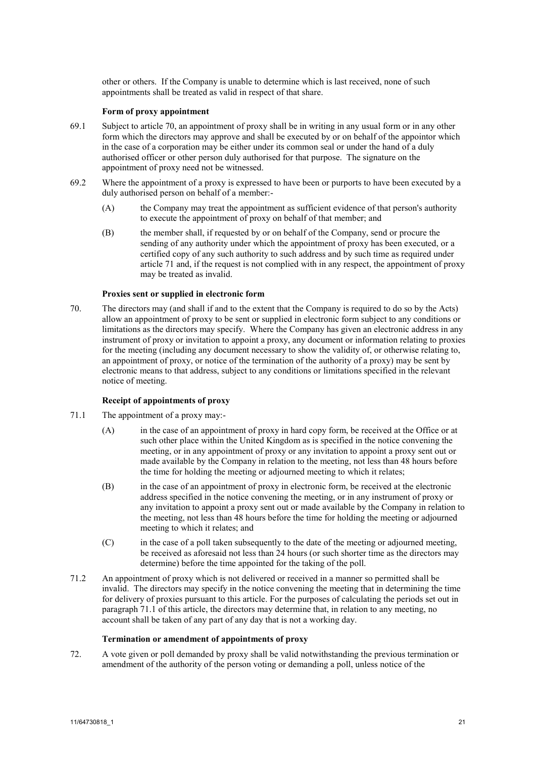<span id="page-20-1"></span>other or others. If the Company is unable to determine which is last received, none of such appointments shall be treated as valid in respect of that share.

## **Form of proxy appointment**

- 69.1 Subject to articl[e 70,](#page-20-0) an appointment of proxy shall be in writing in any usual form or in any other form which the directors may approve and shall be executed by or on behalf of the appointor which in the case of a corporation may be either under its common seal or under the hand of a duly authorised officer or other person duly authorised for that purpose. The signature on the appointment of proxy need not be witnessed.
- 69.2 Where the appointment of a proxy is expressed to have been or purports to have been executed by a duly authorised person on behalf of a member:-
	- (A) the Company may treat the appointment as sufficient evidence of that person's authority to execute the appointment of proxy on behalf of that member; and
	- (B) the member shall, if requested by or on behalf of the Company, send or procure the sending of any authority under which the appointment of proxy has been executed, or a certified copy of any such authority to such address and by such time as required under article [71](#page-20-1) and, if the request is not complied with in any respect, the appointment of proxy may be treated as invalid.

## **Proxies sent or supplied in electronic form**

<span id="page-20-0"></span>70. The directors may (and shall if and to the extent that the Company is required to do so by the Acts) allow an appointment of proxy to be sent or supplied in electronic form subject to any conditions or limitations as the directors may specify. Where the Company has given an electronic address in any instrument of proxy or invitation to appoint a proxy, any document or information relating to proxies for the meeting (including any document necessary to show the validity of, or otherwise relating to, an appointment of proxy, or notice of the termination of the authority of a proxy) may be sent by electronic means to that address, subject to any conditions or limitations specified in the relevant notice of meeting.

## <span id="page-20-2"></span>**Receipt of appointments of proxy**

- 71.1 The appointment of a proxy may:-
	- (A) in the case of an appointment of proxy in hard copy form, be received at the Office or at such other place within the United Kingdom as is specified in the notice convening the meeting, or in any appointment of proxy or any invitation to appoint a proxy sent out or made available by the Company in relation to the meeting, not less than 48 hours before the time for holding the meeting or adjourned meeting to which it relates;
	- (B) in the case of an appointment of proxy in electronic form, be received at the electronic address specified in the notice convening the meeting, or in any instrument of proxy or any invitation to appoint a proxy sent out or made available by the Company in relation to the meeting, not less than 48 hours before the time for holding the meeting or adjourned meeting to which it relates; and
	- (C) in the case of a poll taken subsequently to the date of the meeting or adjourned meeting, be received as aforesaid not less than 24 hours (or such shorter time as the directors may determine) before the time appointed for the taking of the poll.
- 71.2 An appointment of proxy which is not delivered or received in a manner so permitted shall be invalid. The directors may specify in the notice convening the meeting that in determining the time for delivery of proxies pursuant to this article. For the purposes of calculating the periods set out in paragraph [71.1](#page-20-2) of this article, the directors may determine that, in relation to any meeting, no account shall be taken of any part of any day that is not a working day.

### **Termination or amendment of appointments of proxy**

72. A vote given or poll demanded by proxy shall be valid notwithstanding the previous termination or amendment of the authority of the person voting or demanding a poll, unless notice of the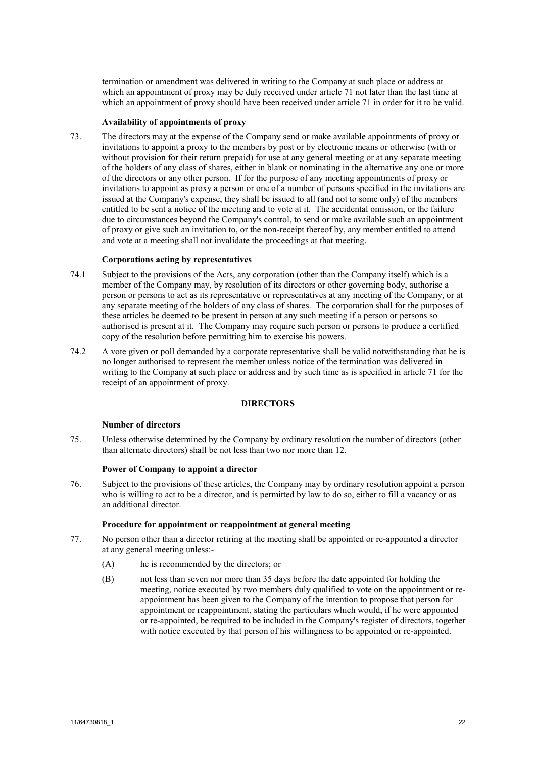termination or amendment was delivered in writing to the Company at such place or address at which an appointment of proxy may be duly received under article [71](#page-20-1) not later than the last time at which an appointment of proxy should have been received under article [71](#page-20-1) in order for it to be valid.

## **Availability of appointments of proxy**

73. The directors may at the expense of the Company send or make available appointments of proxy or invitations to appoint a proxy to the members by post or by electronic means or otherwise (with or without provision for their return prepaid) for use at any general meeting or at any separate meeting of the holders of any class of shares, either in blank or nominating in the alternative any one or more of the directors or any other person. If for the purpose of any meeting appointments of proxy or invitations to appoint as proxy a person or one of a number of persons specified in the invitations are issued at the Company's expense, they shall be issued to all (and not to some only) of the members entitled to be sent a notice of the meeting and to vote at it. The accidental omission, or the failure due to circumstances beyond the Company's control, to send or make available such an appointment of proxy or give such an invitation to, or the non-receipt thereof by, any member entitled to attend and vote at a meeting shall not invalidate the proceedings at that meeting.

#### **Corporations acting by representatives**

- 74.1 Subject to the provisions of the Acts, any corporation (other than the Company itself) which is a member of the Company may, by resolution of its directors or other governing body, authorise a person or persons to act as its representative or representatives at any meeting of the Company, or at any separate meeting of the holders of any class of shares. The corporation shall for the purposes of these articles be deemed to be present in person at any such meeting if a person or persons so authorised is present at it. The Company may require such person or persons to produce a certified copy of the resolution before permitting him to exercise his powers.
- 74.2 A vote given or poll demanded by a corporate representative shall be valid notwithstanding that he is no longer authorised to represent the member unless notice of the termination was delivered in writing to the Company at such place or address and by such time as is specified in article [71](#page-20-1) for the receipt of an appointment of proxy.

#### **DIRECTORS**

## **Number of directors**

75. Unless otherwise determined by the Company by ordinary resolution the number of directors (other than alternate directors) shall be not less than two nor more than 12.

#### **Power of Company to appoint a director**

76. Subject to the provisions of these articles, the Company may by ordinary resolution appoint a person who is willing to act to be a director, and is permitted by law to do so, either to fill a vacancy or as an additional director.

#### **Procedure for appointment or reappointment at general meeting**

- 77. No person other than a director retiring at the meeting shall be appointed or re-appointed a director at any general meeting unless:-
	- (A) he is recommended by the directors; or
	- (B) not less than seven nor more than 35 days before the date appointed for holding the meeting, notice executed by two members duly qualified to vote on the appointment or reappointment has been given to the Company of the intention to propose that person for appointment or reappointment, stating the particulars which would, if he were appointed or re-appointed, be required to be included in the Company's register of directors, together with notice executed by that person of his willingness to be appointed or re-appointed.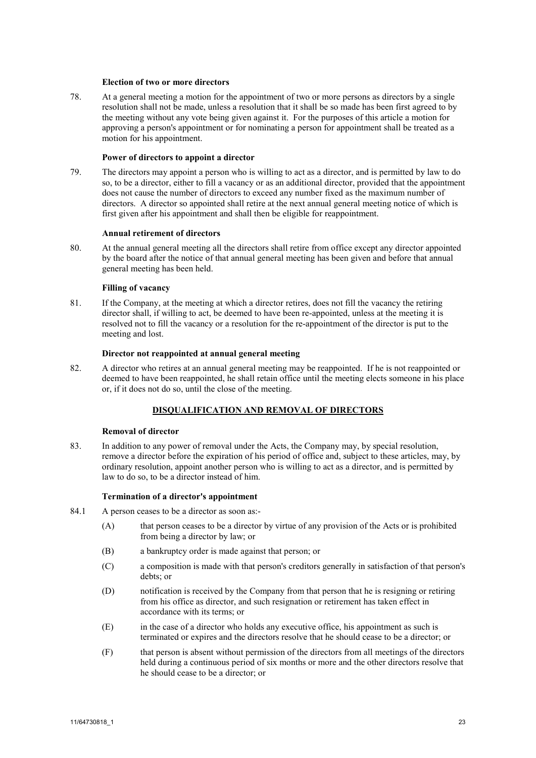#### **Election of two or more directors**

78. At a general meeting a motion for the appointment of two or more persons as directors by a single resolution shall not be made, unless a resolution that it shall be so made has been first agreed to by the meeting without any vote being given against it. For the purposes of this article a motion for approving a person's appointment or for nominating a person for appointment shall be treated as a motion for his appointment.

## **Power of directors to appoint a director**

79. The directors may appoint a person who is willing to act as a director, and is permitted by law to do so, to be a director, either to fill a vacancy or as an additional director, provided that the appointment does not cause the number of directors to exceed any number fixed as the maximum number of directors. A director so appointed shall retire at the next annual general meeting notice of which is first given after his appointment and shall then be eligible for reappointment.

## **Annual retirement of directors**

80. At the annual general meeting all the directors shall retire from office except any director appointed by the board after the notice of that annual general meeting has been given and before that annual general meeting has been held.

## **Filling of vacancy**

81. If the Company, at the meeting at which a director retires, does not fill the vacancy the retiring director shall, if willing to act, be deemed to have been re-appointed, unless at the meeting it is resolved not to fill the vacancy or a resolution for the re-appointment of the director is put to the meeting and lost.

#### **Director not reappointed at annual general meeting**

82. A director who retires at an annual general meeting may be reappointed. If he is not reappointed or deemed to have been reappointed, he shall retain office until the meeting elects someone in his place or, if it does not do so, until the close of the meeting.

# **DISQUALIFICATION AND REMOVAL OF DIRECTORS**

# **Removal of director**

83. In addition to any power of removal under the Acts, the Company may, by special resolution, remove a director before the expiration of his period of office and, subject to these articles, may, by ordinary resolution, appoint another person who is willing to act as a director, and is permitted by law to do so, to be a director instead of him.

## **Termination of a director's appointment**

- 84.1 A person ceases to be a director as soon as:-
	- (A) that person ceases to be a director by virtue of any provision of the Acts or is prohibited from being a director by law; or
	- (B) a bankruptcy order is made against that person; or
	- (C) a composition is made with that person's creditors generally in satisfaction of that person's debts; or
	- (D) notification is received by the Company from that person that he is resigning or retiring from his office as director, and such resignation or retirement has taken effect in accordance with its terms; or
	- (E) in the case of a director who holds any executive office, his appointment as such is terminated or expires and the directors resolve that he should cease to be a director; or
	- (F) that person is absent without permission of the directors from all meetings of the directors held during a continuous period of six months or more and the other directors resolve that he should cease to be a director; or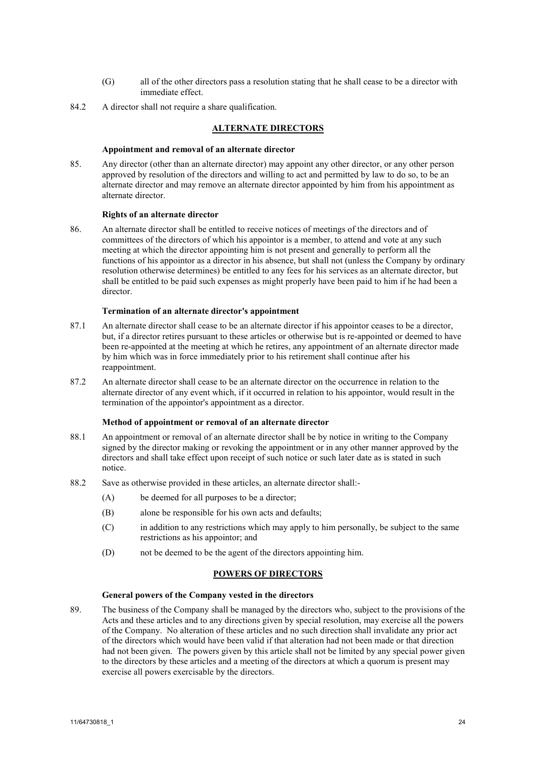- (G) all of the other directors pass a resolution stating that he shall cease to be a director with immediate effect.
- 84.2 A director shall not require a share qualification.

## **ALTERNATE DIRECTORS**

## **Appointment and removal of an alternate director**

85. Any director (other than an alternate director) may appoint any other director, or any other person approved by resolution of the directors and willing to act and permitted by law to do so, to be an alternate director and may remove an alternate director appointed by him from his appointment as alternate director.

## **Rights of an alternate director**

86. An alternate director shall be entitled to receive notices of meetings of the directors and of committees of the directors of which his appointor is a member, to attend and vote at any such meeting at which the director appointing him is not present and generally to perform all the functions of his appointor as a director in his absence, but shall not (unless the Company by ordinary resolution otherwise determines) be entitled to any fees for his services as an alternate director, but shall be entitled to be paid such expenses as might properly have been paid to him if he had been a director.

## **Termination of an alternate director's appointment**

- 87.1 An alternate director shall cease to be an alternate director if his appointor ceases to be a director, but, if a director retires pursuant to these articles or otherwise but is re-appointed or deemed to have been re-appointed at the meeting at which he retires, any appointment of an alternate director made by him which was in force immediately prior to his retirement shall continue after his reappointment.
- 87.2 An alternate director shall cease to be an alternate director on the occurrence in relation to the alternate director of any event which, if it occurred in relation to his appointor, would result in the termination of the appointor's appointment as a director.

## **Method of appointment or removal of an alternate director**

- 88.1 An appointment or removal of an alternate director shall be by notice in writing to the Company signed by the director making or revoking the appointment or in any other manner approved by the directors and shall take effect upon receipt of such notice or such later date as is stated in such notice.
- 88.2 Save as otherwise provided in these articles, an alternate director shall:-
	- (A) be deemed for all purposes to be a director;
	- (B) alone be responsible for his own acts and defaults;
	- (C) in addition to any restrictions which may apply to him personally, be subject to the same restrictions as his appointor; and
	- (D) not be deemed to be the agent of the directors appointing him.

## **POWERS OF DIRECTORS**

## **General powers of the Company vested in the directors**

89. The business of the Company shall be managed by the directors who, subject to the provisions of the Acts and these articles and to any directions given by special resolution, may exercise all the powers of the Company. No alteration of these articles and no such direction shall invalidate any prior act of the directors which would have been valid if that alteration had not been made or that direction had not been given. The powers given by this article shall not be limited by any special power given to the directors by these articles and a meeting of the directors at which a quorum is present may exercise all powers exercisable by the directors.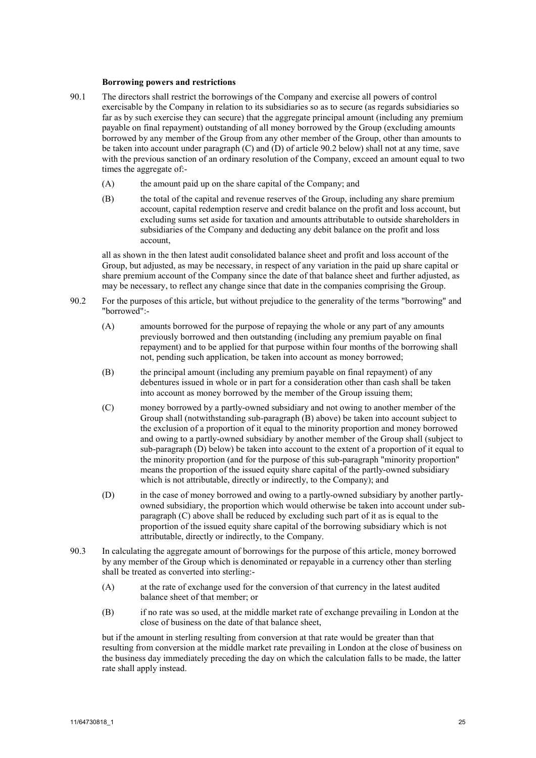#### **Borrowing powers and restrictions**

- 90.1 The directors shall restrict the borrowings of the Company and exercise all powers of control exercisable by the Company in relation to its subsidiaries so as to secure (as regards subsidiaries so far as by such exercise they can secure) that the aggregate principal amount (including any premium payable on final repayment) outstanding of all money borrowed by the Group (excluding amounts borrowed by any member of the Group from any other member of the Group, other than amounts to be taken into account under paragraph [\(C\)](#page-24-0) an[d \(D\)](#page-24-1) of article [90.2](#page-24-2) below) shall not at any time, save with the previous sanction of an ordinary resolution of the Company, exceed an amount equal to two times the aggregate of:-
	- (A) the amount paid up on the share capital of the Company; and
	- (B) the total of the capital and revenue reserves of the Group, including any share premium account, capital redemption reserve and credit balance on the profit and loss account, but excluding sums set aside for taxation and amounts attributable to outside shareholders in subsidiaries of the Company and deducting any debit balance on the profit and loss account,

all as shown in the then latest audit consolidated balance sheet and profit and loss account of the Group, but adjusted, as may be necessary, in respect of any variation in the paid up share capital or share premium account of the Company since the date of that balance sheet and further adjusted, as may be necessary, to reflect any change since that date in the companies comprising the Group.

- <span id="page-24-3"></span><span id="page-24-2"></span><span id="page-24-0"></span>90.2 For the purposes of this article, but without prejudice to the generality of the terms "borrowing" and "borrowed":-
	- (A) amounts borrowed for the purpose of repaying the whole or any part of any amounts previously borrowed and then outstanding (including any premium payable on final repayment) and to be applied for that purpose within four months of the borrowing shall not, pending such application, be taken into account as money borrowed;
	- (B) the principal amount (including any premium payable on final repayment) of any debentures issued in whole or in part for a consideration other than cash shall be taken into account as money borrowed by the member of the Group issuing them;
	- (C) money borrowed by a partly-owned subsidiary and not owing to another member of the Group shall (notwithstanding sub-paragraph [\(B\)](#page-24-3) above) be taken into account subject to the exclusion of a proportion of it equal to the minority proportion and money borrowed and owing to a partly-owned subsidiary by another member of the Group shall (subject to sub-paragrap[h \(D\)](#page-24-1) below) be taken into account to the extent of a proportion of it equal to the minority proportion (and for the purpose of this sub-paragraph "minority proportion" means the proportion of the issued equity share capital of the partly-owned subsidiary which is not attributable, directly or indirectly, to the Company); and
	- (D) in the case of money borrowed and owing to a partly-owned subsidiary by another partlyowned subsidiary, the proportion which would otherwise be taken into account under subparagrap[h \(C\)](#page-24-0) above shall be reduced by excluding such part of it as is equal to the proportion of the issued equity share capital of the borrowing subsidiary which is not attributable, directly or indirectly, to the Company.
- <span id="page-24-1"></span>90.3 In calculating the aggregate amount of borrowings for the purpose of this article, money borrowed by any member of the Group which is denominated or repayable in a currency other than sterling shall be treated as converted into sterling:-
	- (A) at the rate of exchange used for the conversion of that currency in the latest audited balance sheet of that member; or
	- (B) if no rate was so used, at the middle market rate of exchange prevailing in London at the close of business on the date of that balance sheet,

but if the amount in sterling resulting from conversion at that rate would be greater than that resulting from conversion at the middle market rate prevailing in London at the close of business on the business day immediately preceding the day on which the calculation falls to be made, the latter rate shall apply instead.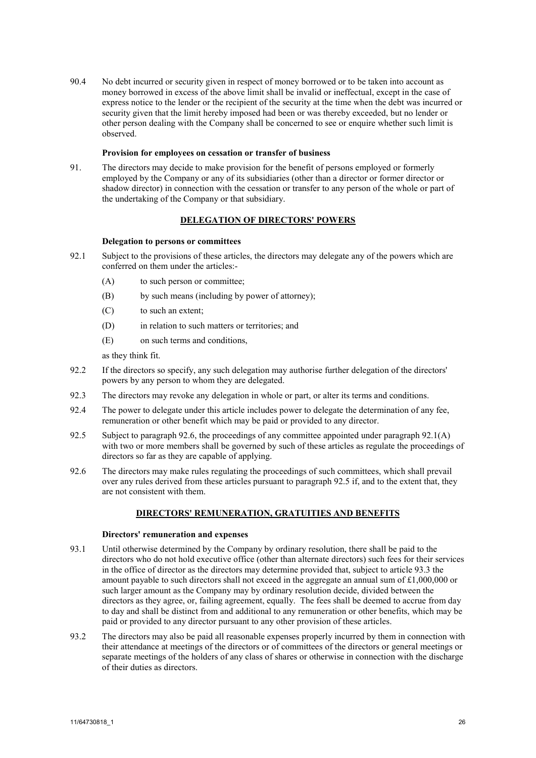90.4 No debt incurred or security given in respect of money borrowed or to be taken into account as money borrowed in excess of the above limit shall be invalid or ineffectual, except in the case of express notice to the lender or the recipient of the security at the time when the debt was incurred or security given that the limit hereby imposed had been or was thereby exceeded, but no lender or other person dealing with the Company shall be concerned to see or enquire whether such limit is observed.

## **Provision for employees on cessation or transfer of business**

91. The directors may decide to make provision for the benefit of persons employed or formerly employed by the Company or any of its subsidiaries (other than a director or former director or shadow director) in connection with the cessation or transfer to any person of the whole or part of the undertaking of the Company or that subsidiary.

## **DELEGATION OF DIRECTORS' POWERS**

## **Delegation to persons or committees**

- <span id="page-25-1"></span>92.1 Subject to the provisions of these articles, the directors may delegate any of the powers which are conferred on them under the articles:-
	- (A) to such person or committee;
	- (B) by such means (including by power of attorney);
	- (C) to such an extent;
	- (D) in relation to such matters or territories; and
	- (E) on such terms and conditions,

as they think fit.

- 92.2 If the directors so specify, any such delegation may authorise further delegation of the directors' powers by any person to whom they are delegated.
- 92.3 The directors may revoke any delegation in whole or part, or alter its terms and conditions.
- 92.4 The power to delegate under this article includes power to delegate the determination of any fee, remuneration or other benefit which may be paid or provided to any director.
- <span id="page-25-2"></span>92.5 Subject to paragrap[h 92.6,](#page-25-0) the proceedings of any committee appointed under paragraph [92.1\(A\)](#page-25-1) with two or more members shall be governed by such of these articles as regulate the proceedings of directors so far as they are capable of applying.
- <span id="page-25-0"></span>92.6 The directors may make rules regulating the proceedings of such committees, which shall prevail over any rules derived from these articles pursuant to paragraph [92.5](#page-25-2) if, and to the extent that, they are not consistent with them.

## **DIRECTORS' REMUNERATION, GRATUITIES AND BENEFITS**

#### **Directors' remuneration and expenses**

- 93.1 Until otherwise determined by the Company by ordinary resolution, there shall be paid to the directors who do not hold executive office (other than alternate directors) such fees for their services in the office of director as the directors may determine provided that, subject to articl[e 93.3](#page-26-0) the amount payable to such directors shall not exceed in the aggregate an annual sum of £1,000,000 or such larger amount as the Company may by ordinary resolution decide, divided between the directors as they agree, or, failing agreement, equally. The fees shall be deemed to accrue from day to day and shall be distinct from and additional to any remuneration or other benefits, which may be paid or provided to any director pursuant to any other provision of these articles.
- 93.2 The directors may also be paid all reasonable expenses properly incurred by them in connection with their attendance at meetings of the directors or of committees of the directors or general meetings or separate meetings of the holders of any class of shares or otherwise in connection with the discharge of their duties as directors.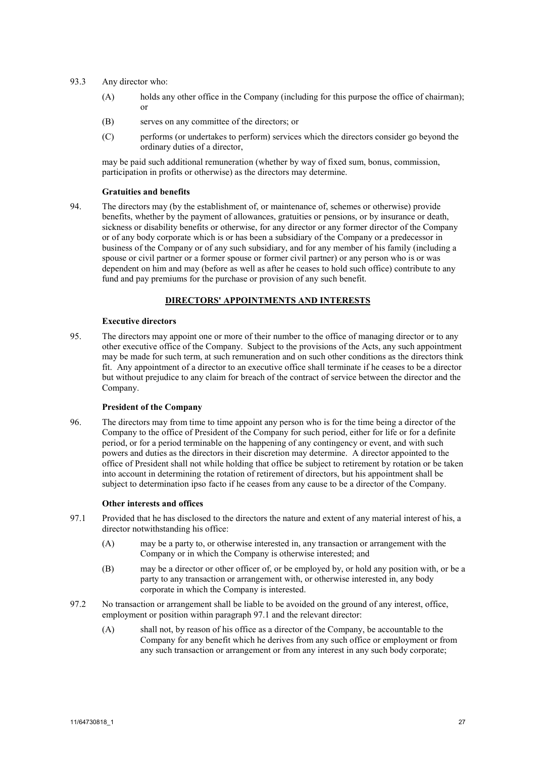- <span id="page-26-2"></span><span id="page-26-0"></span>93.3 Any director who:
	- (A) holds any other office in the Company (including for this purpose the office of chairman); or
	- (B) serves on any committee of the directors; or
	- (C) performs (or undertakes to perform) services which the directors consider go beyond the ordinary duties of a director,

may be paid such additional remuneration (whether by way of fixed sum, bonus, commission, participation in profits or otherwise) as the directors may determine.

### **Gratuities and benefits**

94. The directors may (by the establishment of, or maintenance of, schemes or otherwise) provide benefits, whether by the payment of allowances, gratuities or pensions, or by insurance or death, sickness or disability benefits or otherwise, for any director or any former director of the Company or of any body corporate which is or has been a subsidiary of the Company or a predecessor in business of the Company or of any such subsidiary, and for any member of his family (including a spouse or civil partner or a former spouse or former civil partner) or any person who is or was dependent on him and may (before as well as after he ceases to hold such office) contribute to any fund and pay premiums for the purchase or provision of any such benefit.

# **DIRECTORS' APPOINTMENTS AND INTERESTS**

### **Executive directors**

95. The directors may appoint one or more of their number to the office of managing director or to any other executive office of the Company. Subject to the provisions of the Acts, any such appointment may be made for such term, at such remuneration and on such other conditions as the directors think fit. Any appointment of a director to an executive office shall terminate if he ceases to be a director but without prejudice to any claim for breach of the contract of service between the director and the Company.

## **President of the Company**

96. The directors may from time to time appoint any person who is for the time being a director of the Company to the office of President of the Company for such period, either for life or for a definite period, or for a period terminable on the happening of any contingency or event, and with such powers and duties as the directors in their discretion may determine. A director appointed to the office of President shall not while holding that office be subject to retirement by rotation or be taken into account in determining the rotation of retirement of directors, but his appointment shall be subject to determination ipso facto if he ceases from any cause to be a director of the Company.

#### <span id="page-26-1"></span>**Other interests and offices**

- 97.1 Provided that he has disclosed to the directors the nature and extent of any material interest of his, a director notwithstanding his office:
	- (A) may be a party to, or otherwise interested in, any transaction or arrangement with the Company or in which the Company is otherwise interested; and
	- (B) may be a director or other officer of, or be employed by, or hold any position with, or be a party to any transaction or arrangement with, or otherwise interested in, any body corporate in which the Company is interested.
- 97.2 No transaction or arrangement shall be liable to be avoided on the ground of any interest, office, employment or position within paragraph [97.1](#page-26-1) and the relevant director:
	- (A) shall not, by reason of his office as a director of the Company, be accountable to the Company for any benefit which he derives from any such office or employment or from any such transaction or arrangement or from any interest in any such body corporate;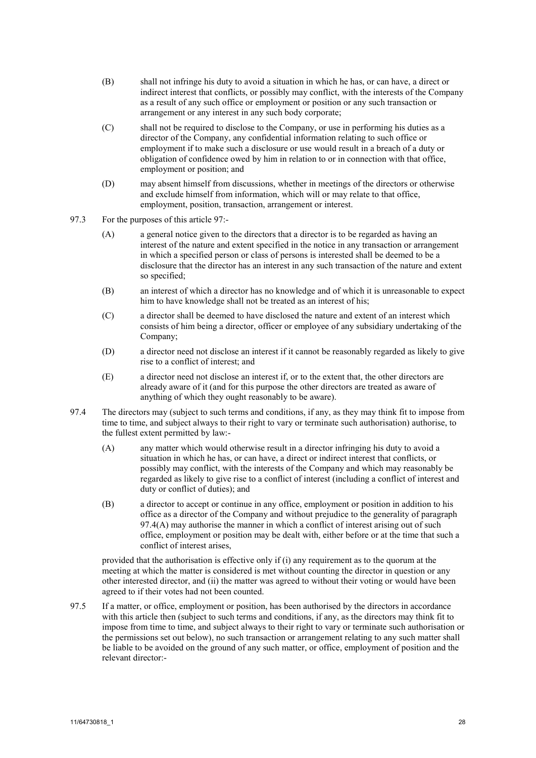- (B) shall not infringe his duty to avoid a situation in which he has, or can have, a direct or indirect interest that conflicts, or possibly may conflict, with the interests of the Company as a result of any such office or employment or position or any such transaction or arrangement or any interest in any such body corporate;
- (C) shall not be required to disclose to the Company, or use in performing his duties as a director of the Company, any confidential information relating to such office or employment if to make such a disclosure or use would result in a breach of a duty or obligation of confidence owed by him in relation to or in connection with that office, employment or position; and
- (D) may absent himself from discussions, whether in meetings of the directors or otherwise and exclude himself from information, which will or may relate to that office, employment, position, transaction, arrangement or interest.
- 97.3 For the purposes of this article [97:](#page-26-2)
	- (A) a general notice given to the directors that a director is to be regarded as having an interest of the nature and extent specified in the notice in any transaction or arrangement in which a specified person or class of persons is interested shall be deemed to be a disclosure that the director has an interest in any such transaction of the nature and extent so specified;
	- (B) an interest of which a director has no knowledge and of which it is unreasonable to expect him to have knowledge shall not be treated as an interest of his;
	- (C) a director shall be deemed to have disclosed the nature and extent of an interest which consists of him being a director, officer or employee of any subsidiary undertaking of the Company;
	- (D) a director need not disclose an interest if it cannot be reasonably regarded as likely to give rise to a conflict of interest; and
	- (E) a director need not disclose an interest if, or to the extent that, the other directors are already aware of it (and for this purpose the other directors are treated as aware of anything of which they ought reasonably to be aware).
- <span id="page-27-0"></span>97.4 The directors may (subject to such terms and conditions, if any, as they may think fit to impose from time to time, and subject always to their right to vary or terminate such authorisation) authorise, to the fullest extent permitted by law:-
	- (A) any matter which would otherwise result in a director infringing his duty to avoid a situation in which he has, or can have, a direct or indirect interest that conflicts, or possibly may conflict, with the interests of the Company and which may reasonably be regarded as likely to give rise to a conflict of interest (including a conflict of interest and duty or conflict of duties); and
	- (B) a director to accept or continue in any office, employment or position in addition to his office as a director of the Company and without prejudice to the generality of paragraph [97.4\(A\)](#page-27-0) may authorise the manner in which a conflict of interest arising out of such office, employment or position may be dealt with, either before or at the time that such a conflict of interest arises,

provided that the authorisation is effective only if (i) any requirement as to the quorum at the meeting at which the matter is considered is met without counting the director in question or any other interested director, and (ii) the matter was agreed to without their voting or would have been agreed to if their votes had not been counted.

97.5 If a matter, or office, employment or position, has been authorised by the directors in accordance with this article then (subject to such terms and conditions, if any, as the directors may think fit to impose from time to time, and subject always to their right to vary or terminate such authorisation or the permissions set out below), no such transaction or arrangement relating to any such matter shall be liable to be avoided on the ground of any such matter, or office, employment of position and the relevant director:-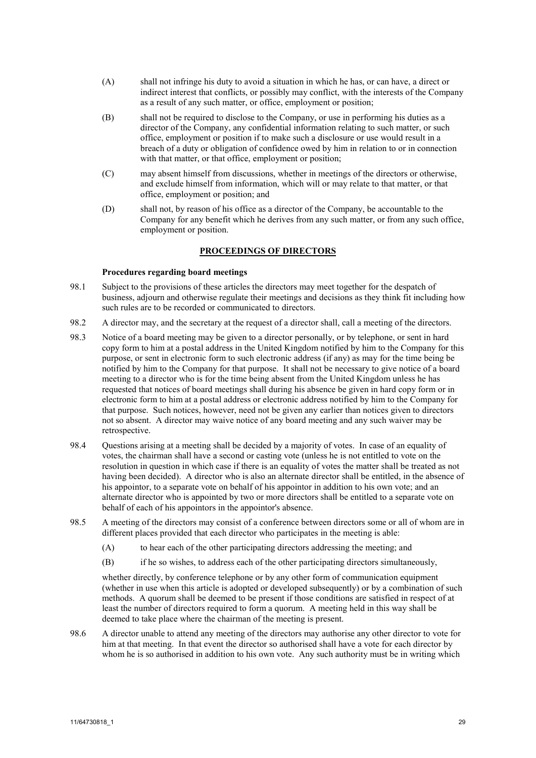- (A) shall not infringe his duty to avoid a situation in which he has, or can have, a direct or indirect interest that conflicts, or possibly may conflict, with the interests of the Company as a result of any such matter, or office, employment or position;
- (B) shall not be required to disclose to the Company, or use in performing his duties as a director of the Company, any confidential information relating to such matter, or such office, employment or position if to make such a disclosure or use would result in a breach of a duty or obligation of confidence owed by him in relation to or in connection with that matter, or that office, employment or position;
- (C) may absent himself from discussions, whether in meetings of the directors or otherwise, and exclude himself from information, which will or may relate to that matter, or that office, employment or position; and
- (D) shall not, by reason of his office as a director of the Company, be accountable to the Company for any benefit which he derives from any such matter, or from any such office, employment or position.

## **PROCEEDINGS OF DIRECTORS**

## **Procedures regarding board meetings**

- 98.1 Subject to the provisions of these articles the directors may meet together for the despatch of business, adjourn and otherwise regulate their meetings and decisions as they think fit including how such rules are to be recorded or communicated to directors.
- 98.2 A director may, and the secretary at the request of a director shall, call a meeting of the directors.
- 98.3 Notice of a board meeting may be given to a director personally, or by telephone, or sent in hard copy form to him at a postal address in the United Kingdom notified by him to the Company for this purpose, or sent in electronic form to such electronic address (if any) as may for the time being be notified by him to the Company for that purpose. It shall not be necessary to give notice of a board meeting to a director who is for the time being absent from the United Kingdom unless he has requested that notices of board meetings shall during his absence be given in hard copy form or in electronic form to him at a postal address or electronic address notified by him to the Company for that purpose. Such notices, however, need not be given any earlier than notices given to directors not so absent. A director may waive notice of any board meeting and any such waiver may be retrospective.
- 98.4 Questions arising at a meeting shall be decided by a majority of votes. In case of an equality of votes, the chairman shall have a second or casting vote (unless he is not entitled to vote on the resolution in question in which case if there is an equality of votes the matter shall be treated as not having been decided). A director who is also an alternate director shall be entitled, in the absence of his appointor, to a separate vote on behalf of his appointor in addition to his own vote; and an alternate director who is appointed by two or more directors shall be entitled to a separate vote on behalf of each of his appointors in the appointor's absence.
- 98.5 A meeting of the directors may consist of a conference between directors some or all of whom are in different places provided that each director who participates in the meeting is able:
	- (A) to hear each of the other participating directors addressing the meeting; and
	- (B) if he so wishes, to address each of the other participating directors simultaneously,

whether directly, by conference telephone or by any other form of communication equipment (whether in use when this article is adopted or developed subsequently) or by a combination of such methods. A quorum shall be deemed to be present if those conditions are satisfied in respect of at least the number of directors required to form a quorum. A meeting held in this way shall be deemed to take place where the chairman of the meeting is present.

98.6 A director unable to attend any meeting of the directors may authorise any other director to vote for him at that meeting. In that event the director so authorised shall have a vote for each director by whom he is so authorised in addition to his own vote. Any such authority must be in writing which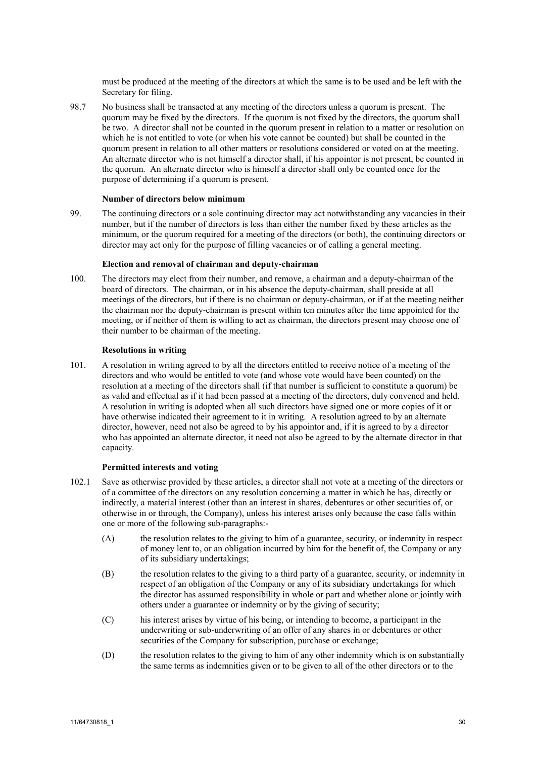must be produced at the meeting of the directors at which the same is to be used and be left with the Secretary for filing.

98.7 No business shall be transacted at any meeting of the directors unless a quorum is present. The quorum may be fixed by the directors. If the quorum is not fixed by the directors, the quorum shall be two. A director shall not be counted in the quorum present in relation to a matter or resolution on which he is not entitled to vote (or when his vote cannot be counted) but shall be counted in the quorum present in relation to all other matters or resolutions considered or voted on at the meeting. An alternate director who is not himself a director shall, if his appointor is not present, be counted in the quorum. An alternate director who is himself a director shall only be counted once for the purpose of determining if a quorum is present.

#### **Number of directors below minimum**

99. The continuing directors or a sole continuing director may act notwithstanding any vacancies in their number, but if the number of directors is less than either the number fixed by these articles as the minimum, or the quorum required for a meeting of the directors (or both), the continuing directors or director may act only for the purpose of filling vacancies or of calling a general meeting.

#### **Election and removal of chairman and deputy-chairman**

100. The directors may elect from their number, and remove, a chairman and a deputy-chairman of the board of directors. The chairman, or in his absence the deputy-chairman, shall preside at all meetings of the directors, but if there is no chairman or deputy-chairman, or if at the meeting neither the chairman nor the deputy-chairman is present within ten minutes after the time appointed for the meeting, or if neither of them is willing to act as chairman, the directors present may choose one of their number to be chairman of the meeting.

## **Resolutions in writing**

101. A resolution in writing agreed to by all the directors entitled to receive notice of a meeting of the directors and who would be entitled to vote (and whose vote would have been counted) on the resolution at a meeting of the directors shall (if that number is sufficient to constitute a quorum) be as valid and effectual as if it had been passed at a meeting of the directors, duly convened and held. A resolution in writing is adopted when all such directors have signed one or more copies of it or have otherwise indicated their agreement to it in writing. A resolution agreed to by an alternate director, however, need not also be agreed to by his appointor and, if it is agreed to by a director who has appointed an alternate director, it need not also be agreed to by the alternate director in that capacity.

### <span id="page-29-0"></span>**Permitted interests and voting**

- 102.1 Save as otherwise provided by these articles, a director shall not vote at a meeting of the directors or of a committee of the directors on any resolution concerning a matter in which he has, directly or indirectly, a material interest (other than an interest in shares, debentures or other securities of, or otherwise in or through, the Company), unless his interest arises only because the case falls within one or more of the following sub-paragraphs:-
	- (A) the resolution relates to the giving to him of a guarantee, security, or indemnity in respect of money lent to, or an obligation incurred by him for the benefit of, the Company or any of its subsidiary undertakings;
	- (B) the resolution relates to the giving to a third party of a guarantee, security, or indemnity in respect of an obligation of the Company or any of its subsidiary undertakings for which the director has assumed responsibility in whole or part and whether alone or jointly with others under a guarantee or indemnity or by the giving of security;
	- (C) his interest arises by virtue of his being, or intending to become, a participant in the underwriting or sub-underwriting of an offer of any shares in or debentures or other securities of the Company for subscription, purchase or exchange;
	- (D) the resolution relates to the giving to him of any other indemnity which is on substantially the same terms as indemnities given or to be given to all of the other directors or to the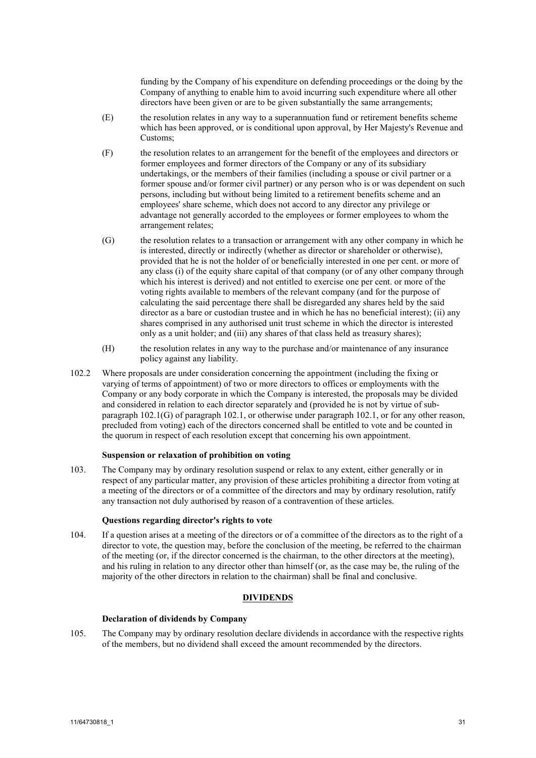funding by the Company of his expenditure on defending proceedings or the doing by the Company of anything to enable him to avoid incurring such expenditure where all other directors have been given or are to be given substantially the same arrangements;

- (E) the resolution relates in any way to a superannuation fund or retirement benefits scheme which has been approved, or is conditional upon approval, by Her Majesty's Revenue and Customs;
- (F) the resolution relates to an arrangement for the benefit of the employees and directors or former employees and former directors of the Company or any of its subsidiary undertakings, or the members of their families (including a spouse or civil partner or a former spouse and/or former civil partner) or any person who is or was dependent on such persons, including but without being limited to a retirement benefits scheme and an employees' share scheme, which does not accord to any director any privilege or advantage not generally accorded to the employees or former employees to whom the arrangement relates;
- <span id="page-30-0"></span>(G) the resolution relates to a transaction or arrangement with any other company in which he is interested, directly or indirectly (whether as director or shareholder or otherwise), provided that he is not the holder of or beneficially interested in one per cent. or more of any class (i) of the equity share capital of that company (or of any other company through which his interest is derived) and not entitled to exercise one per cent. or more of the voting rights available to members of the relevant company (and for the purpose of calculating the said percentage there shall be disregarded any shares held by the said director as a bare or custodian trustee and in which he has no beneficial interest); (ii) any shares comprised in any authorised unit trust scheme in which the director is interested only as a unit holder; and (iii) any shares of that class held as treasury shares);
- (H) the resolution relates in any way to the purchase and/or maintenance of any insurance policy against any liability.
- 102.2 Where proposals are under consideration concerning the appointment (including the fixing or varying of terms of appointment) of two or more directors to offices or employments with the Company or any body corporate in which the Company is interested, the proposals may be divided and considered in relation to each director separately and (provided he is not by virtue of subparagraph [102.1\(G\)](#page-30-0) of paragraph [102.1,](#page-29-0) or otherwise under paragrap[h 102.1,](#page-29-0) or for any other reason, precluded from voting) each of the directors concerned shall be entitled to vote and be counted in the quorum in respect of each resolution except that concerning his own appointment.

### **Suspension or relaxation of prohibition on voting**

103. The Company may by ordinary resolution suspend or relax to any extent, either generally or in respect of any particular matter, any provision of these articles prohibiting a director from voting at a meeting of the directors or of a committee of the directors and may by ordinary resolution, ratify any transaction not duly authorised by reason of a contravention of these articles.

#### **Questions regarding director's rights to vote**

104. If a question arises at a meeting of the directors or of a committee of the directors as to the right of a director to vote, the question may, before the conclusion of the meeting, be referred to the chairman of the meeting (or, if the director concerned is the chairman, to the other directors at the meeting), and his ruling in relation to any director other than himself (or, as the case may be, the ruling of the majority of the other directors in relation to the chairman) shall be final and conclusive.

## **DIVIDENDS**

#### **Declaration of dividends by Company**

105. The Company may by ordinary resolution declare dividends in accordance with the respective rights of the members, but no dividend shall exceed the amount recommended by the directors.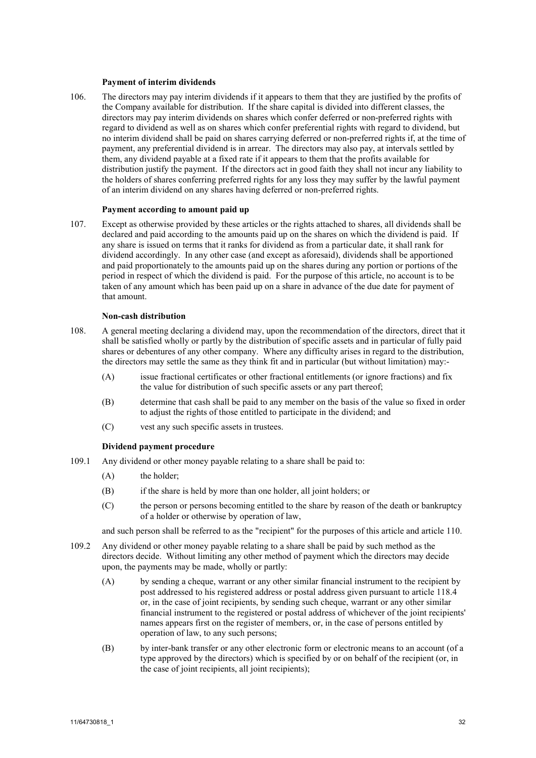#### **Payment of interim dividends**

106. The directors may pay interim dividends if it appears to them that they are justified by the profits of the Company available for distribution. If the share capital is divided into different classes, the directors may pay interim dividends on shares which confer deferred or non-preferred rights with regard to dividend as well as on shares which confer preferential rights with regard to dividend, but no interim dividend shall be paid on shares carrying deferred or non-preferred rights if, at the time of payment, any preferential dividend is in arrear. The directors may also pay, at intervals settled by them, any dividend payable at a fixed rate if it appears to them that the profits available for distribution justify the payment. If the directors act in good faith they shall not incur any liability to the holders of shares conferring preferred rights for any loss they may suffer by the lawful payment of an interim dividend on any shares having deferred or non-preferred rights.

#### **Payment according to amount paid up**

107. Except as otherwise provided by these articles or the rights attached to shares, all dividends shall be declared and paid according to the amounts paid up on the shares on which the dividend is paid. If any share is issued on terms that it ranks for dividend as from a particular date, it shall rank for dividend accordingly. In any other case (and except as aforesaid), dividends shall be apportioned and paid proportionately to the amounts paid up on the shares during any portion or portions of the period in respect of which the dividend is paid. For the purpose of this article, no account is to be taken of any amount which has been paid up on a share in advance of the due date for payment of that amount.

#### **Non-cash distribution**

- 108. A general meeting declaring a dividend may, upon the recommendation of the directors, direct that it shall be satisfied wholly or partly by the distribution of specific assets and in particular of fully paid shares or debentures of any other company. Where any difficulty arises in regard to the distribution, the directors may settle the same as they think fit and in particular (but without limitation) may:-
	- (A) issue fractional certificates or other fractional entitlements (or ignore fractions) and fix the value for distribution of such specific assets or any part thereof;
	- (B) determine that cash shall be paid to any member on the basis of the value so fixed in order to adjust the rights of those entitled to participate in the dividend; and
	- (C) vest any such specific assets in trustees.

#### **Dividend payment procedure**

- 109.1 Any dividend or other money payable relating to a share shall be paid to:
	- (A) the holder;
	- (B) if the share is held by more than one holder, all joint holders; or
	- (C) the person or persons becoming entitled to the share by reason of the death or bankruptcy of a holder or otherwise by operation of law,

and such person shall be referred to as the "recipient" for the purposes of this article and article [110.](#page-32-0)

- <span id="page-31-1"></span><span id="page-31-0"></span>109.2 Any dividend or other money payable relating to a share shall be paid by such method as the directors decide. Without limiting any other method of payment which the directors may decide upon, the payments may be made, wholly or partly:
	- (A) by sending a cheque, warrant or any other similar financial instrument to the recipient by post addressed to his registered address or postal address given pursuant to article [118.4](#page-37-0) or, in the case of joint recipients, by sending such cheque, warrant or any other similar financial instrument to the registered or postal address of whichever of the joint recipients' names appears first on the register of members, or, in the case of persons entitled by operation of law, to any such persons;
	- (B) by inter-bank transfer or any other electronic form or electronic means to an account (of a type approved by the directors) which is specified by or on behalf of the recipient (or, in the case of joint recipients, all joint recipients);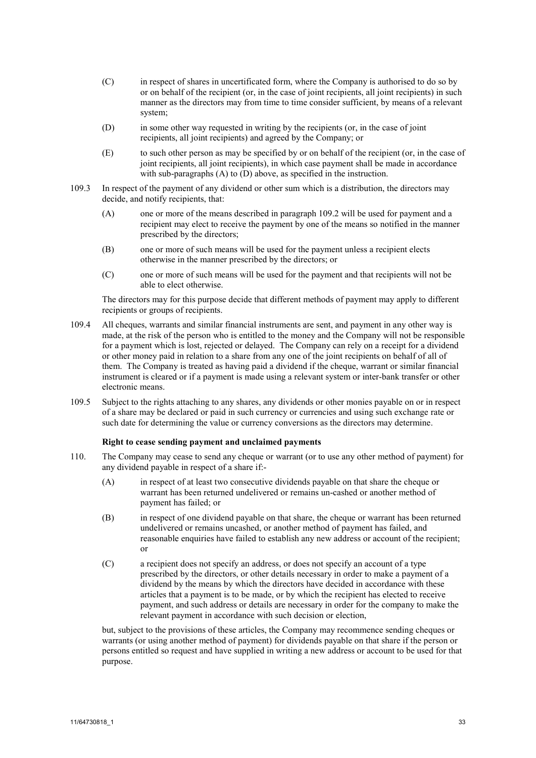- (C) in respect of shares in uncertificated form, where the Company is authorised to do so by or on behalf of the recipient (or, in the case of joint recipients, all joint recipients) in such manner as the directors may from time to time consider sufficient, by means of a relevant system;
- <span id="page-32-1"></span>(D) in some other way requested in writing by the recipients (or, in the case of joint recipients, all joint recipients) and agreed by the Company; or
- (E) to such other person as may be specified by or on behalf of the recipient (or, in the case of joint recipients, all joint recipients), in which case payment shall be made in accordance with sub-paragraphs [\(A\)](#page-31-0) to [\(D\)](#page-32-1) above, as specified in the instruction.
- 109.3 In respect of the payment of any dividend or other sum which is a distribution, the directors may decide, and notify recipients, that:
	- (A) one or more of the means described in paragraph [109.2](#page-31-1) will be used for payment and a recipient may elect to receive the payment by one of the means so notified in the manner prescribed by the directors;
	- (B) one or more of such means will be used for the payment unless a recipient elects otherwise in the manner prescribed by the directors; or
	- (C) one or more of such means will be used for the payment and that recipients will not be able to elect otherwise.

The directors may for this purpose decide that different methods of payment may apply to different recipients or groups of recipients.

- 109.4 All cheques, warrants and similar financial instruments are sent, and payment in any other way is made, at the risk of the person who is entitled to the money and the Company will not be responsible for a payment which is lost, rejected or delayed. The Company can rely on a receipt for a dividend or other money paid in relation to a share from any one of the joint recipients on behalf of all of them. The Company is treated as having paid a dividend if the cheque, warrant or similar financial instrument is cleared or if a payment is made using a relevant system or inter-bank transfer or other electronic means.
- 109.5 Subject to the rights attaching to any shares, any dividends or other monies payable on or in respect of a share may be declared or paid in such currency or currencies and using such exchange rate or such date for determining the value or currency conversions as the directors may determine.

## **Right to cease sending payment and unclaimed payments**

- <span id="page-32-0"></span>110. The Company may cease to send any cheque or warrant (or to use any other method of payment) for any dividend payable in respect of a share if:-
	- (A) in respect of at least two consecutive dividends payable on that share the cheque or warrant has been returned undelivered or remains un-cashed or another method of payment has failed; or
	- (B) in respect of one dividend payable on that share, the cheque or warrant has been returned undelivered or remains uncashed, or another method of payment has failed, and reasonable enquiries have failed to establish any new address or account of the recipient; or
	- (C) a recipient does not specify an address, or does not specify an account of a type prescribed by the directors, or other details necessary in order to make a payment of a dividend by the means by which the directors have decided in accordance with these articles that a payment is to be made, or by which the recipient has elected to receive payment, and such address or details are necessary in order for the company to make the relevant payment in accordance with such decision or election,

but, subject to the provisions of these articles, the Company may recommence sending cheques or warrants (or using another method of payment) for dividends payable on that share if the person or persons entitled so request and have supplied in writing a new address or account to be used for that purpose.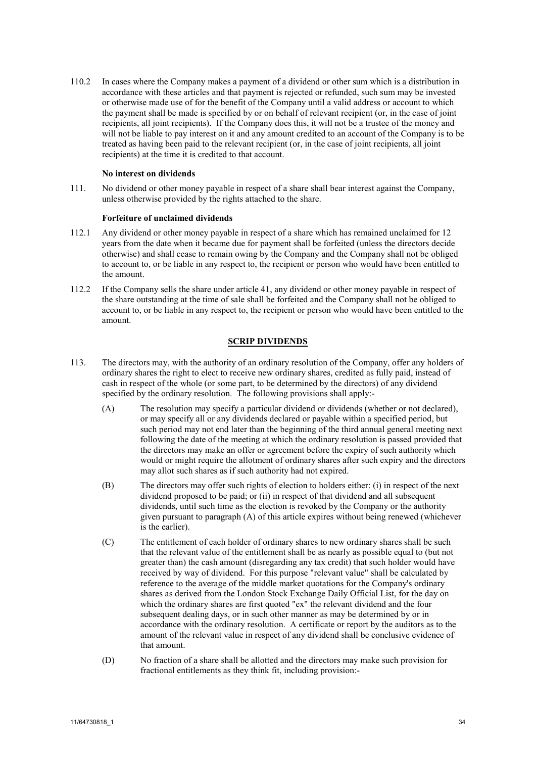110.2 In cases where the Company makes a payment of a dividend or other sum which is a distribution in accordance with these articles and that payment is rejected or refunded, such sum may be invested or otherwise made use of for the benefit of the Company until a valid address or account to which the payment shall be made is specified by or on behalf of relevant recipient (or, in the case of joint recipients, all joint recipients). If the Company does this, it will not be a trustee of the money and will not be liable to pay interest on it and any amount credited to an account of the Company is to be treated as having been paid to the relevant recipient (or, in the case of joint recipients, all joint recipients) at the time it is credited to that account.

### **No interest on dividends**

111. No dividend or other money payable in respect of a share shall bear interest against the Company, unless otherwise provided by the rights attached to the share.

## **Forfeiture of unclaimed dividends**

- 112.1 Any dividend or other money payable in respect of a share which has remained unclaimed for 12 years from the date when it became due for payment shall be forfeited (unless the directors decide otherwise) and shall cease to remain owing by the Company and the Company shall not be obliged to account to, or be liable in any respect to, the recipient or person who would have been entitled to the amount.
- 112.2 If the Company sells the share under article [41,](#page-11-4) any dividend or other money payable in respect of the share outstanding at the time of sale shall be forfeited and the Company shall not be obliged to account to, or be liable in any respect to, the recipient or person who would have been entitled to the amount.

## **SCRIP DIVIDENDS**

- <span id="page-33-0"></span>113. The directors may, with the authority of an ordinary resolution of the Company, offer any holders of ordinary shares the right to elect to receive new ordinary shares, credited as fully paid, instead of cash in respect of the whole (or some part, to be determined by the directors) of any dividend specified by the ordinary resolution. The following provisions shall apply:-
	- (A) The resolution may specify a particular dividend or dividends (whether or not declared), or may specify all or any dividends declared or payable within a specified period, but such period may not end later than the beginning of the third annual general meeting next following the date of the meeting at which the ordinary resolution is passed provided that the directors may make an offer or agreement before the expiry of such authority which would or might require the allotment of ordinary shares after such expiry and the directors may allot such shares as if such authority had not expired.
	- (B) The directors may offer such rights of election to holders either: (i) in respect of the next dividend proposed to be paid; or (ii) in respect of that dividend and all subsequent dividends, until such time as the election is revoked by the Company or the authority given pursuant to paragraph [\(A\)](#page-33-0) of this article expires without being renewed (whichever is the earlier).
	- (C) The entitlement of each holder of ordinary shares to new ordinary shares shall be such that the relevant value of the entitlement shall be as nearly as possible equal to (but not greater than) the cash amount (disregarding any tax credit) that such holder would have received by way of dividend. For this purpose "relevant value" shall be calculated by reference to the average of the middle market quotations for the Company's ordinary shares as derived from the London Stock Exchange Daily Official List, for the day on which the ordinary shares are first quoted "ex" the relevant dividend and the four subsequent dealing days, or in such other manner as may be determined by or in accordance with the ordinary resolution. A certificate or report by the auditors as to the amount of the relevant value in respect of any dividend shall be conclusive evidence of that amount.
	- (D) No fraction of a share shall be allotted and the directors may make such provision for fractional entitlements as they think fit, including provision:-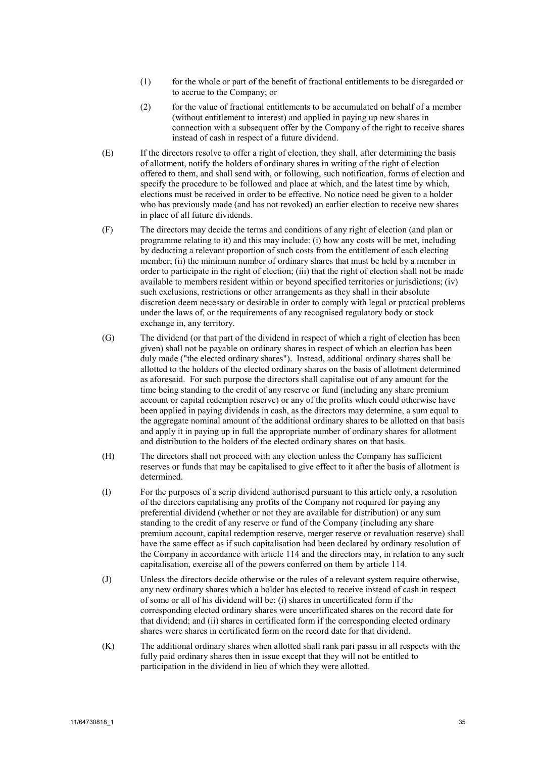- (1) for the whole or part of the benefit of fractional entitlements to be disregarded or to accrue to the Company; or
- (2) for the value of fractional entitlements to be accumulated on behalf of a member (without entitlement to interest) and applied in paying up new shares in connection with a subsequent offer by the Company of the right to receive shares instead of cash in respect of a future dividend.
- (E) If the directors resolve to offer a right of election, they shall, after determining the basis of allotment, notify the holders of ordinary shares in writing of the right of election offered to them, and shall send with, or following, such notification, forms of election and specify the procedure to be followed and place at which, and the latest time by which, elections must be received in order to be effective. No notice need be given to a holder who has previously made (and has not revoked) an earlier election to receive new shares in place of all future dividends.
- (F) The directors may decide the terms and conditions of any right of election (and plan or programme relating to it) and this may include: (i) how any costs will be met, including by deducting a relevant proportion of such costs from the entitlement of each electing member; (ii) the minimum number of ordinary shares that must be held by a member in order to participate in the right of election; (iii) that the right of election shall not be made available to members resident within or beyond specified territories or jurisdictions; (iv) such exclusions, restrictions or other arrangements as they shall in their absolute discretion deem necessary or desirable in order to comply with legal or practical problems under the laws of, or the requirements of any recognised regulatory body or stock exchange in, any territory.
- (G) The dividend (or that part of the dividend in respect of which a right of election has been given) shall not be payable on ordinary shares in respect of which an election has been duly made ("the elected ordinary shares"). Instead, additional ordinary shares shall be allotted to the holders of the elected ordinary shares on the basis of allotment determined as aforesaid. For such purpose the directors shall capitalise out of any amount for the time being standing to the credit of any reserve or fund (including any share premium account or capital redemption reserve) or any of the profits which could otherwise have been applied in paying dividends in cash, as the directors may determine, a sum equal to the aggregate nominal amount of the additional ordinary shares to be allotted on that basis and apply it in paying up in full the appropriate number of ordinary shares for allotment and distribution to the holders of the elected ordinary shares on that basis.
- (H) The directors shall not proceed with any election unless the Company has sufficient reserves or funds that may be capitalised to give effect to it after the basis of allotment is determined.
- (I) For the purposes of a scrip dividend authorised pursuant to this article only, a resolution of the directors capitalising any profits of the Company not required for paying any preferential dividend (whether or not they are available for distribution) or any sum standing to the credit of any reserve or fund of the Company (including any share premium account, capital redemption reserve, merger reserve or revaluation reserve) shall have the same effect as if such capitalisation had been declared by ordinary resolution of the Company in accordance with articl[e 114](#page-35-0) and the directors may, in relation to any such capitalisation, exercise all of the powers conferred on them by articl[e 114.](#page-35-0)
- (J) Unless the directors decide otherwise or the rules of a relevant system require otherwise, any new ordinary shares which a holder has elected to receive instead of cash in respect of some or all of his dividend will be: (i) shares in uncertificated form if the corresponding elected ordinary shares were uncertificated shares on the record date for that dividend; and (ii) shares in certificated form if the corresponding elected ordinary shares were shares in certificated form on the record date for that dividend.
- (K) The additional ordinary shares when allotted shall rank pari passu in all respects with the fully paid ordinary shares then in issue except that they will not be entitled to participation in the dividend in lieu of which they were allotted.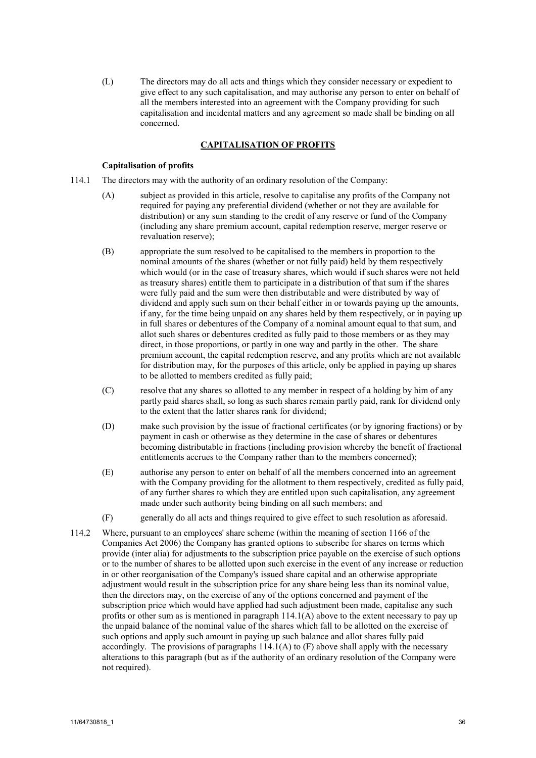<span id="page-35-0"></span>(L) The directors may do all acts and things which they consider necessary or expedient to give effect to any such capitalisation, and may authorise any person to enter on behalf of all the members interested into an agreement with the Company providing for such capitalisation and incidental matters and any agreement so made shall be binding on all concerned.

# **CAPITALISATION OF PROFITS**

## **Capitalisation of profits**

- <span id="page-35-1"></span>114.1 The directors may with the authority of an ordinary resolution of the Company:
	- (A) subject as provided in this article, resolve to capitalise any profits of the Company not required for paying any preferential dividend (whether or not they are available for distribution) or any sum standing to the credit of any reserve or fund of the Company (including any share premium account, capital redemption reserve, merger reserve or revaluation reserve);
	- (B) appropriate the sum resolved to be capitalised to the members in proportion to the nominal amounts of the shares (whether or not fully paid) held by them respectively which would (or in the case of treasury shares, which would if such shares were not held as treasury shares) entitle them to participate in a distribution of that sum if the shares were fully paid and the sum were then distributable and were distributed by way of dividend and apply such sum on their behalf either in or towards paying up the amounts, if any, for the time being unpaid on any shares held by them respectively, or in paying up in full shares or debentures of the Company of a nominal amount equal to that sum, and allot such shares or debentures credited as fully paid to those members or as they may direct, in those proportions, or partly in one way and partly in the other. The share premium account, the capital redemption reserve, and any profits which are not available for distribution may, for the purposes of this article, only be applied in paying up shares to be allotted to members credited as fully paid;
	- (C) resolve that any shares so allotted to any member in respect of a holding by him of any partly paid shares shall, so long as such shares remain partly paid, rank for dividend only to the extent that the latter shares rank for dividend;
	- (D) make such provision by the issue of fractional certificates (or by ignoring fractions) or by payment in cash or otherwise as they determine in the case of shares or debentures becoming distributable in fractions (including provision whereby the benefit of fractional entitlements accrues to the Company rather than to the members concerned);
	- (E) authorise any person to enter on behalf of all the members concerned into an agreement with the Company providing for the allotment to them respectively, credited as fully paid, of any further shares to which they are entitled upon such capitalisation, any agreement made under such authority being binding on all such members; and
	- (F) generally do all acts and things required to give effect to such resolution as aforesaid.
- <span id="page-35-2"></span>114.2 Where, pursuant to an employees' share scheme (within the meaning of section 1166 of the Companies Act 2006) the Company has granted options to subscribe for shares on terms which provide (inter alia) for adjustments to the subscription price payable on the exercise of such options or to the number of shares to be allotted upon such exercise in the event of any increase or reduction in or other reorganisation of the Company's issued share capital and an otherwise appropriate adjustment would result in the subscription price for any share being less than its nominal value, then the directors may, on the exercise of any of the options concerned and payment of the subscription price which would have applied had such adjustment been made, capitalise any such profits or other sum as is mentioned in paragrap[h 114.1\(A\)](#page-35-1) above to the extent necessary to pay up the unpaid balance of the nominal value of the shares which fall to be allotted on the exercise of such options and apply such amount in paying up such balance and allot shares fully paid accordingly. The provisions of paragraphs  $114.1(A)$  t[o \(F\)](#page-35-2) above shall apply with the necessary alterations to this paragraph (but as if the authority of an ordinary resolution of the Company were not required).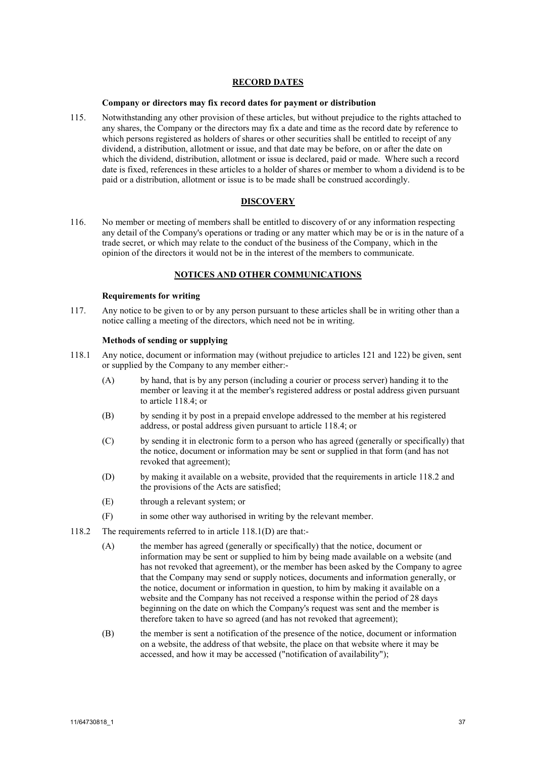## **RECORD DATES**

### **Company or directors may fix record dates for payment or distribution**

<span id="page-36-2"></span>115. Notwithstanding any other provision of these articles, but without prejudice to the rights attached to any shares, the Company or the directors may fix a date and time as the record date by reference to which persons registered as holders of shares or other securities shall be entitled to receipt of any dividend, a distribution, allotment or issue, and that date may be before, on or after the date on which the dividend, distribution, allotment or issue is declared, paid or made. Where such a record date is fixed, references in these articles to a holder of shares or member to whom a dividend is to be paid or a distribution, allotment or issue is to be made shall be construed accordingly.

### **DISCOVERY**

116. No member or meeting of members shall be entitled to discovery of or any information respecting any detail of the Company's operations or trading or any matter which may be or is in the nature of a trade secret, or which may relate to the conduct of the business of the Company, which in the opinion of the directors it would not be in the interest of the members to communicate.

## **NOTICES AND OTHER COMMUNICATIONS**

## **Requirements for writing**

117. Any notice to be given to or by any person pursuant to these articles shall be in writing other than a notice calling a meeting of the directors, which need not be in writing.

#### **Methods of sending or supplying**

- <span id="page-36-3"></span>118.1 Any notice, document or information may (without prejudice to articles [121](#page-37-1) and [122\)](#page-38-0) be given, sent or supplied by the Company to any member either:-
	- (A) by hand, that is by any person (including a courier or process server) handing it to the member or leaving it at the member's registered address or postal address given pursuant to articl[e 118.4;](#page-37-0) or
	- (B) by sending it by post in a prepaid envelope addressed to the member at his registered address, or postal address given pursuant to article [118.4;](#page-37-0) or
	- (C) by sending it in electronic form to a person who has agreed (generally or specifically) that the notice, document or information may be sent or supplied in that form (and has not revoked that agreement);
	- (D) by making it available on a website, provided that the requirements in article [118.2](#page-36-0) and the provisions of the Acts are satisfied;
	- (E) through a relevant system; or
	- (F) in some other way authorised in writing by the relevant member.
- <span id="page-36-1"></span><span id="page-36-0"></span>118.2 The requirements referred to in article [118.1\(D\)](#page-36-1) are that:-
	- (A) the member has agreed (generally or specifically) that the notice, document or information may be sent or supplied to him by being made available on a website (and has not revoked that agreement), or the member has been asked by the Company to agree that the Company may send or supply notices, documents and information generally, or the notice, document or information in question, to him by making it available on a website and the Company has not received a response within the period of 28 days beginning on the date on which the Company's request was sent and the member is therefore taken to have so agreed (and has not revoked that agreement);
	- (B) the member is sent a notification of the presence of the notice, document or information on a website, the address of that website, the place on that website where it may be accessed, and how it may be accessed ("notification of availability");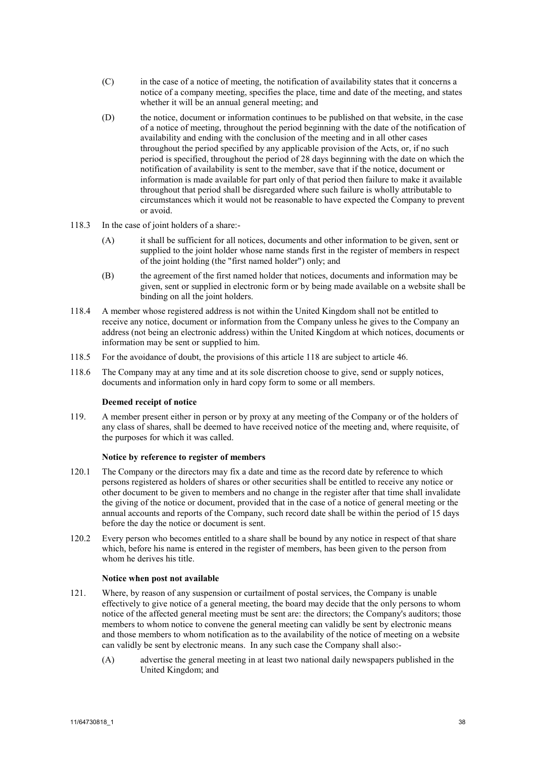- (C) in the case of a notice of meeting, the notification of availability states that it concerns a notice of a company meeting, specifies the place, time and date of the meeting, and states whether it will be an annual general meeting; and
- (D) the notice, document or information continues to be published on that website, in the case of a notice of meeting, throughout the period beginning with the date of the notification of availability and ending with the conclusion of the meeting and in all other cases throughout the period specified by any applicable provision of the Acts, or, if no such period is specified, throughout the period of 28 days beginning with the date on which the notification of availability is sent to the member, save that if the notice, document or information is made available for part only of that period then failure to make it available throughout that period shall be disregarded where such failure is wholly attributable to circumstances which it would not be reasonable to have expected the Company to prevent or avoid.
- 118.3 In the case of joint holders of a share:-
	- (A) it shall be sufficient for all notices, documents and other information to be given, sent or supplied to the joint holder whose name stands first in the register of members in respect of the joint holding (the "first named holder") only; and
	- (B) the agreement of the first named holder that notices, documents and information may be given, sent or supplied in electronic form or by being made available on a website shall be binding on all the joint holders.
- <span id="page-37-0"></span>118.4 A member whose registered address is not within the United Kingdom shall not be entitled to receive any notice, document or information from the Company unless he gives to the Company an address (not being an electronic address) within the United Kingdom at which notices, documents or information may be sent or supplied to him.
- 118.5 For the avoidance of doubt, the provisions of this article [118](#page-36-2) are subject to article [46.](#page-13-2)
- 118.6 The Company may at any time and at its sole discretion choose to give, send or supply notices, documents and information only in hard copy form to some or all members.

## **Deemed receipt of notice**

119. A member present either in person or by proxy at any meeting of the Company or of the holders of any class of shares, shall be deemed to have received notice of the meeting and, where requisite, of the purposes for which it was called.

## **Notice by reference to register of members**

- 120.1 The Company or the directors may fix a date and time as the record date by reference to which persons registered as holders of shares or other securities shall be entitled to receive any notice or other document to be given to members and no change in the register after that time shall invalidate the giving of the notice or document, provided that in the case of a notice of general meeting or the annual accounts and reports of the Company, such record date shall be within the period of 15 days before the day the notice or document is sent.
- 120.2 Every person who becomes entitled to a share shall be bound by any notice in respect of that share which, before his name is entered in the register of members, has been given to the person from whom he derives his title.

#### **Notice when post not available**

- <span id="page-37-1"></span>121. Where, by reason of any suspension or curtailment of postal services, the Company is unable effectively to give notice of a general meeting, the board may decide that the only persons to whom notice of the affected general meeting must be sent are: the directors; the Company's auditors; those members to whom notice to convene the general meeting can validly be sent by electronic means and those members to whom notification as to the availability of the notice of meeting on a website can validly be sent by electronic means. In any such case the Company shall also:-
	- (A) advertise the general meeting in at least two national daily newspapers published in the United Kingdom; and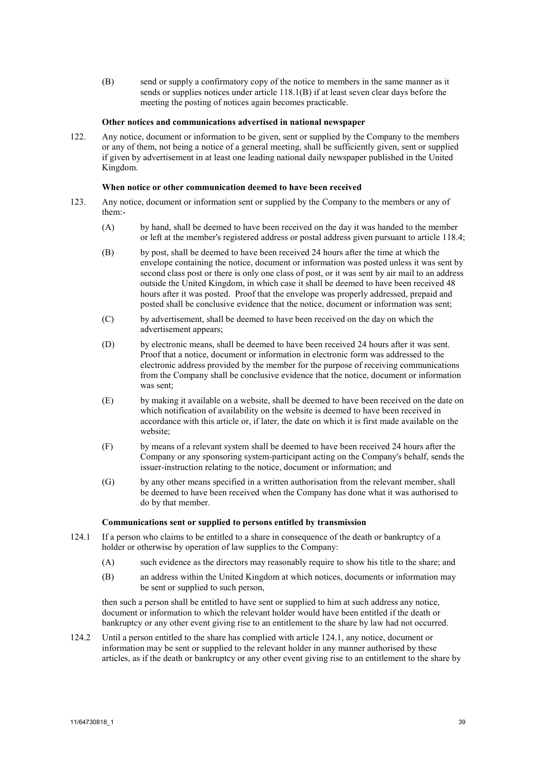(B) send or supply a confirmatory copy of the notice to members in the same manner as it sends or supplies notices under article [118.1\(B\)](#page-36-3) if at least seven clear days before the meeting the posting of notices again becomes practicable.

## **Other notices and communications advertised in national newspaper**

<span id="page-38-0"></span>122. Any notice, document or information to be given, sent or supplied by the Company to the members or any of them, not being a notice of a general meeting, shall be sufficiently given, sent or supplied if given by advertisement in at least one leading national daily newspaper published in the United Kingdom.

## **When notice or other communication deemed to have been received**

- 123. Any notice, document or information sent or supplied by the Company to the members or any of them:-
	- (A) by hand, shall be deemed to have been received on the day it was handed to the member or left at the member's registered address or postal address given pursuant to article [118.4;](#page-37-0)
	- (B) by post, shall be deemed to have been received 24 hours after the time at which the envelope containing the notice, document or information was posted unless it was sent by second class post or there is only one class of post, or it was sent by air mail to an address outside the United Kingdom, in which case it shall be deemed to have been received 48 hours after it was posted. Proof that the envelope was properly addressed, prepaid and posted shall be conclusive evidence that the notice, document or information was sent;
	- (C) by advertisement, shall be deemed to have been received on the day on which the advertisement appears;
	- (D) by electronic means, shall be deemed to have been received 24 hours after it was sent. Proof that a notice, document or information in electronic form was addressed to the electronic address provided by the member for the purpose of receiving communications from the Company shall be conclusive evidence that the notice, document or information was sent;
	- (E) by making it available on a website, shall be deemed to have been received on the date on which notification of availability on the website is deemed to have been received in accordance with this article or, if later, the date on which it is first made available on the website;
	- (F) by means of a relevant system shall be deemed to have been received 24 hours after the Company or any sponsoring system-participant acting on the Company's behalf, sends the issuer-instruction relating to the notice, document or information; and
	- (G) by any other means specified in a written authorisation from the relevant member, shall be deemed to have been received when the Company has done what it was authorised to do by that member.

#### <span id="page-38-1"></span>**Communications sent or supplied to persons entitled by transmission**

- 124.1 If a person who claims to be entitled to a share in consequence of the death or bankruptcy of a holder or otherwise by operation of law supplies to the Company:
	- (A) such evidence as the directors may reasonably require to show his title to the share; and
	- (B) an address within the United Kingdom at which notices, documents or information may be sent or supplied to such person,

then such a person shall be entitled to have sent or supplied to him at such address any notice, document or information to which the relevant holder would have been entitled if the death or bankruptcy or any other event giving rise to an entitlement to the share by law had not occurred.

124.2 Until a person entitled to the share has complied with article [124.1,](#page-38-1) any notice, document or information may be sent or supplied to the relevant holder in any manner authorised by these articles, as if the death or bankruptcy or any other event giving rise to an entitlement to the share by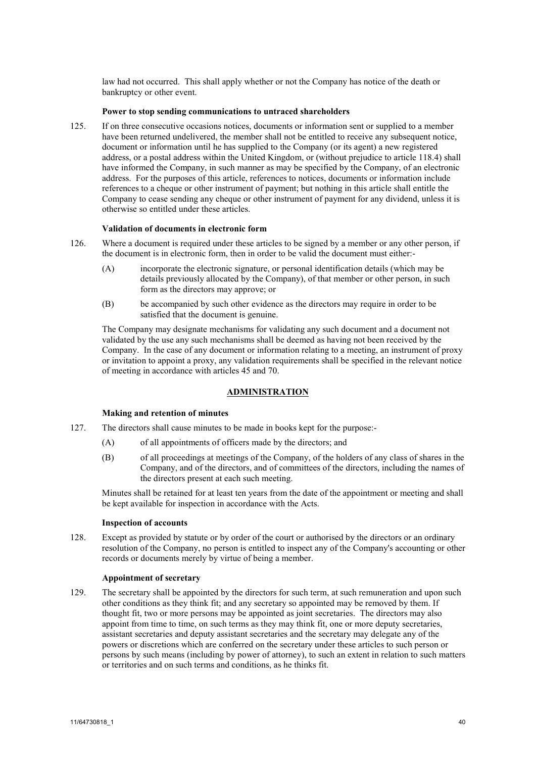law had not occurred. This shall apply whether or not the Company has notice of the death or bankruptcy or other event.

### **Power to stop sending communications to untraced shareholders**

125. If on three consecutive occasions notices, documents or information sent or supplied to a member have been returned undelivered, the member shall not be entitled to receive any subsequent notice, document or information until he has supplied to the Company (or its agent) a new registered address, or a postal address within the United Kingdom, or (without prejudice to article [118.4\)](#page-37-0) shall have informed the Company, in such manner as may be specified by the Company, of an electronic address. For the purposes of this article, references to notices, documents or information include references to a cheque or other instrument of payment; but nothing in this article shall entitle the Company to cease sending any cheque or other instrument of payment for any dividend, unless it is otherwise so entitled under these articles.

## **Validation of documents in electronic form**

- 126. Where a document is required under these articles to be signed by a member or any other person, if the document is in electronic form, then in order to be valid the document must either:-
	- (A) incorporate the electronic signature, or personal identification details (which may be details previously allocated by the Company), of that member or other person, in such form as the directors may approve; or
	- (B) be accompanied by such other evidence as the directors may require in order to be satisfied that the document is genuine.

The Company may designate mechanisms for validating any such document and a document not validated by the use any such mechanisms shall be deemed as having not been received by the Company. In the case of any document or information relating to a meeting, an instrument of proxy or invitation to appoint a proxy, any validation requirements shall be specified in the relevant notice of meeting in accordance with articles [45](#page-13-3) and [70.](#page-20-0)

## **ADMINISTRATION**

#### **Making and retention of minutes**

- 127. The directors shall cause minutes to be made in books kept for the purpose:-
	- (A) of all appointments of officers made by the directors; and
	- (B) of all proceedings at meetings of the Company, of the holders of any class of shares in the Company, and of the directors, and of committees of the directors, including the names of the directors present at each such meeting.

Minutes shall be retained for at least ten years from the date of the appointment or meeting and shall be kept available for inspection in accordance with the Acts.

#### **Inspection of accounts**

128. Except as provided by statute or by order of the court or authorised by the directors or an ordinary resolution of the Company, no person is entitled to inspect any of the Company's accounting or other records or documents merely by virtue of being a member.

#### **Appointment of secretary**

129. The secretary shall be appointed by the directors for such term, at such remuneration and upon such other conditions as they think fit; and any secretary so appointed may be removed by them. If thought fit, two or more persons may be appointed as joint secretaries. The directors may also appoint from time to time, on such terms as they may think fit, one or more deputy secretaries, assistant secretaries and deputy assistant secretaries and the secretary may delegate any of the powers or discretions which are conferred on the secretary under these articles to such person or persons by such means (including by power of attorney), to such an extent in relation to such matters or territories and on such terms and conditions, as he thinks fit.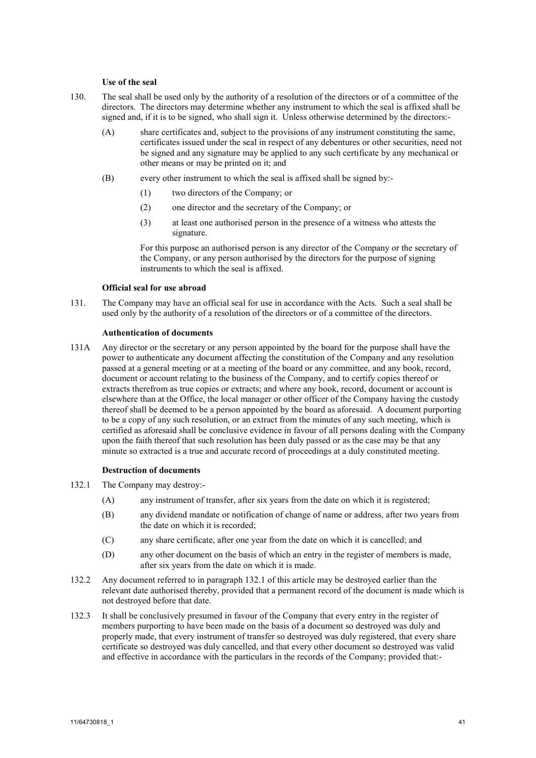## **Use of the seal**

- 130. The seal shall be used only by the authority of a resolution of the directors or of a committee of the directors. The directors may determine whether any instrument to which the seal is affixed shall be signed and, if it is to be signed, who shall sign it. Unless otherwise determined by the directors:-
	- (A) share certificates and, subject to the provisions of any instrument constituting the same, certificates issued under the seal in respect of any debentures or other securities, need not be signed and any signature may be applied to any such certificate by any mechanical or other means or may be printed on it; and
	- (B) every other instrument to which the seal is affixed shall be signed by:-
		- (1) two directors of the Company; or
		- (2) one director and the secretary of the Company; or
		- (3) at least one authorised person in the presence of a witness who attests the signature.

For this purpose an authorised person is any director of the Company or the secretary of the Company, or any person authorised by the directors for the purpose of signing instruments to which the seal is affixed.

#### **Official seal for use abroad**

131. The Company may have an official seal for use in accordance with the Acts. Such a seal shall be used only by the authority of a resolution of the directors or of a committee of the directors.

## **Authentication of documents**

131A Any director or the secretary or any person appointed by the board for the purpose shall have the power to authenticate any document affecting the constitution of the Company and any resolution passed at a general meeting or at a meeting of the board or any committee, and any book, record, document or account relating to the business of the Company, and to certify copies thereof or extracts therefrom as true copies or extracts; and where any book, record, document or account is elsewhere than at the Office, the local manager or other officer of the Company having the custody thereof shall be deemed to be a person appointed by the board as aforesaid. A document purporting to be a copy of any such resolution, or an extract from the minutes of any such meeting, which is certified as aforesaid shall be conclusive evidence in favour of all persons dealing with the Company upon the faith thereof that such resolution has been duly passed or as the case may be that any minute so extracted is a true and accurate record of proceedings at a duly constituted meeting.

### <span id="page-40-0"></span>**Destruction of documents**

- 132.1 The Company may destroy:-
	- (A) any instrument of transfer, after six years from the date on which it is registered;
	- (B) any dividend mandate or notification of change of name or address, after two years from the date on which it is recorded;
	- (C) any share certificate, after one year from the date on which it is cancelled; and
	- (D) any other document on the basis of which an entry in the register of members is made, after six years from the date on which it is made.
- 132.2 Any document referred to in paragraph [132.1](#page-40-0) of this article may be destroyed earlier than the relevant date authorised thereby, provided that a permanent record of the document is made which is not destroyed before that date.
- 132.3 It shall be conclusively presumed in favour of the Company that every entry in the register of members purporting to have been made on the basis of a document so destroyed was duly and properly made, that every instrument of transfer so destroyed was duly registered, that every share certificate so destroyed was duly cancelled, and that every other document so destroyed was valid and effective in accordance with the particulars in the records of the Company; provided that:-